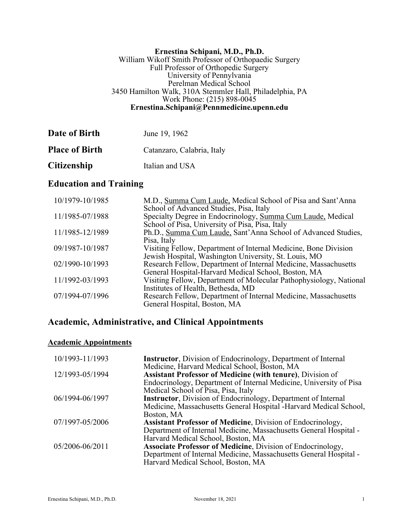#### **Ernestina Schipani, M.D., Ph.D.** William Wikoff Smith Professor of Orthopaedic Surgery Full Professor of Orthopedic Surgery University of Pennylvania Perelman Medical School 3450 Hamilton Walk, 310A Stemmler Hall, Philadelphia, PA Work Phone: (215) 898-0045 **Ernestina.Schipani@Pennmedicine.upenn.edu**

| Date of Birth         | June 19, 1962              |
|-----------------------|----------------------------|
| <b>Place of Birth</b> | Catanzaro, Calabria, Italy |
| <b>Citizenship</b>    | Italian and USA            |

# **Education and Training**

| 10/1979-10/1985 | M.D., Summa Cum Laude, Medical School of Pisa and Sant'Anna        |
|-----------------|--------------------------------------------------------------------|
|                 | School of Advanced Studies, Pisa, Italy                            |
| 11/1985-07/1988 | Specialty Degree in Endocrinology, Summa Cum Laude, Medical        |
|                 | School of Pisa, University of Pisa, Pisa, Italy                    |
| 11/1985-12/1989 | Ph.D., Summa Cum Laude, Sant'Anna School of Advanced Studies,      |
|                 | Pisa, Italy                                                        |
| 09/1987-10/1987 | Visiting Fellow, Department of Internal Medicine, Bone Division    |
|                 | Jewish Hospital, Washington University, St. Louis, MO              |
| 02/1990-10/1993 | Research Fellow, Department of Internal Medicine, Massachusetts    |
|                 | General Hospital-Harvard Medical School, Boston, MA                |
| 11/1992-03/1993 | Visiting Fellow, Department of Molecular Pathophysiology, National |
|                 | Institutes of Health, Bethesda, MD                                 |
| 07/1994-07/1996 | Research Fellow, Department of Internal Medicine, Massachusetts    |
|                 | General Hospital, Boston, MA                                       |

# **Academic, Administrative, and Clinical Appointments**

### **Academic Appointments**

| 10/1993-11/1993 | <b>Instructor</b> , Division of Endocrinology, Department of Internal |
|-----------------|-----------------------------------------------------------------------|
|                 | Medicine, Harvard Medical School, Boston, MA                          |
| 12/1993-05/1994 | <b>Assistant Professor of Medicine (with tenure), Division of</b>     |
|                 | Endocrinology, Department of Internal Medicine, University of Pisa    |
|                 | Medical School of Pisa, Pisa, Italy                                   |
| 06/1994-06/1997 | <b>Instructor</b> , Division of Endocrinology, Department of Internal |
|                 | Medicine, Massachusetts General Hospital -Harvard Medical School,     |
|                 | Boston, MA                                                            |
| 07/1997-05/2006 | <b>Assistant Professor of Medicine, Division of Endocrinology,</b>    |
|                 | Department of Internal Medicine, Massachusetts General Hospital -     |
|                 | Harvard Medical School, Boston, MA                                    |
| 05/2006-06/2011 | Associate Professor of Medicine, Division of Endocrinology,           |
|                 | Department of Internal Medicine, Massachusetts General Hospital -     |
|                 | Harvard Medical School, Boston, MA                                    |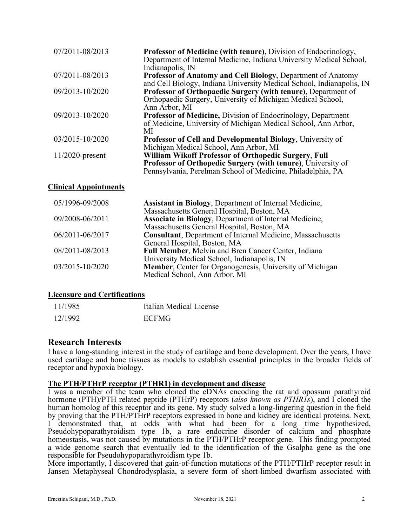| 07/2011-08/2013    | <b>Professor of Medicine (with tenure), Division of Endocrinology,</b><br>Department of Internal Medicine, Indiana University Medical School, |
|--------------------|-----------------------------------------------------------------------------------------------------------------------------------------------|
|                    | Indianapolis, IN                                                                                                                              |
| 07/2011-08/2013    | Professor of Anatomy and Cell Biology, Department of Anatomy                                                                                  |
|                    | and Cell Biology, Indiana University Medical School, Indianapolis, IN                                                                         |
| 09/2013-10/2020    | Professor of Orthopaedic Surgery (with tenure), Department of                                                                                 |
|                    | Orthopaedic Surgery, University of Michigan Medical School,                                                                                   |
|                    | Ann Arbor, MI                                                                                                                                 |
| 09/2013-10/2020    | <b>Professor of Medicine, Division of Endocrinology, Department</b>                                                                           |
|                    | of Medicine, University of Michigan Medical School, Ann Arbor,                                                                                |
|                    | MI                                                                                                                                            |
| 03/2015-10/2020    | <b>Professor of Cell and Developmental Biology, University of</b>                                                                             |
|                    | Michigan Medical School, Ann Arbor, MI                                                                                                        |
| $11/2020$ -present | William Wikoff Professor of Orthopedic Surgery, Full                                                                                          |
|                    | Professor of Orthopedic Surgery (with tenure), University of                                                                                  |
|                    | Pennsylvania, Perelman School of Medicine, Philadelphia, PA                                                                                   |

### **Clinical Appointments**

| 05/1996-09/2008 | Assistant in Biology, Department of Internal Medicine,             |
|-----------------|--------------------------------------------------------------------|
|                 | Massachusetts General Hospital, Boston, MA                         |
| 09/2008-06/2011 | Associate in Biology, Department of Internal Medicine,             |
|                 | Massachusetts General Hospital, Boston, MA                         |
| 06/2011-06/2017 | <b>Consultant</b> , Department of Internal Medicine, Massachusetts |
|                 | General Hospital, Boston, MA                                       |
| 08/2011-08/2013 | Full Member, Melvin and Bren Cancer Center, Indiana                |
|                 | University Medical School, Indianapolis, IN                        |
| 03/2015-10/2020 | Member, Center for Organogenesis, University of Michigan           |
|                 | Medical School, Ann Arbor, MI                                      |

### **Licensure and Certifications**

| 11/1985 | Italian Medical License |
|---------|-------------------------|
| 12/1992 | <b>ECFMG</b>            |

### **Research Interests**

I have a long-standing interest in the study of cartilage and bone development. Over the years, I have used cartilage and bone tissues as models to establish essential principles in the broader fields of receptor and hypoxia biology.

### **The PTH/PTHrP receptor (PTHR1) in development and disease**

I was a member of the team who cloned the cDNAs encoding the rat and opossum parathyroid hormone (PTH)/PTH related peptide (PTHrP) receptors (*also known as PTHR1s*), and I cloned the human homolog of this receptor and its gene. My study solved a long-lingering question in the field by proving that the PTH/PTHrP receptors expressed in bone and kidney are identical proteins. Next, I demonstrated that, at odds with what had been for a long time hypothesized, Pseudohypoparathyroidism type 1b, a rare endocrine disorder of calcium and phosphate homeostasis, was not caused by mutations in the PTH/PTHrP receptor gene. This finding prompted a wide genome search that eventually led to the identification of the Gsalpha gene as the one responsible for Pseudohypoparathyroidism type 1b.

More importantly, I discovered that gain-of-function mutations of the PTH/PTHrP receptor result in Jansen Metaphyseal Chondrodysplasia, a severe form of short-limbed dwarfism associated with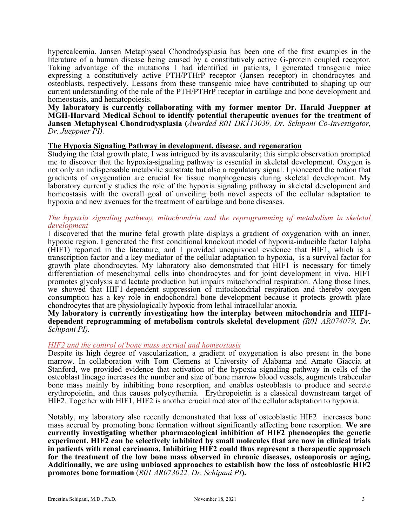hypercalcemia. Jansen Metaphyseal Chondrodysplasia has been one of the first examples in the literature of a human disease being caused by a constitutively active G-protein coupled receptor. Taking advantage of the mutations I had identified in patients, I generated transgenic mice expressing a constitutively active PTH/PTHrP receptor (Jansen receptor) in chondrocytes and osteoblasts, respectively. Lessons from these transgenic mice have contributed to shaping up our current understanding of the role of the PTH/PTHrP receptor in cartilage and bone development and homeostasis, and hematopoiesis.

**My laboratory is currently collaborating with my former mentor Dr. Harald Jueppner at MGH-Harvard Medical School to identify potential therapeutic avenues for the treatment of Jansen Metaphyseal Chondrodysplasia (***Awarded R01 DK113039, Dr. Schipani Co-Investigator, Dr. Jueppner PI).*

#### **The Hypoxia Signaling Pathway in development, disease, and regeneration**

Studying the fetal growth plate, I was intrigued by its avascularity; this simple observation prompted me to discover that the hypoxia-signaling pathway is essential in skeletal development. Oxygen is not only an indispensable metabolic substrate but also a regulatory signal. I pioneered the notion that gradients of oxygenation are crucial for tissue morphogenesis during skeletal development. My laboratory currently studies the role of the hypoxia signaling pathway in skeletal development and homeostasis with the overall goal of unveiling both novel aspects of the cellular adaptation to hypoxia and new avenues for the treatment of cartilage and bone diseases.

#### *The hypoxia signaling pathway, mitochondria and the reprogramming of metabolism in skeletal development*

I discovered that the murine fetal growth plate displays a gradient of oxygenation with an inner, hypoxic region. I generated the first conditional knockout model of hypoxia-inducible factor 1alpha (HIF1) reported in the literature, and I provided unequivocal evidence that HIF1, which is a transcription factor and a key mediator of the cellular adaptation to hypoxia, is a survival factor for growth plate chondrocytes. My laboratory also demonstrated that HIF1 is necessary for timely differentiation of mesenchymal cells into chondrocytes and for joint development in vivo. HIF1 promotes glycolysis and lactate production but impairs mitochondrial respiration. Along those lines, we showed that HIF1-dependent suppression of mitochondrial respiration and thereby oxygen consumption has a key role in endochondral bone development because it protects growth plate chondrocytes that are physiologically hypoxic from lethal intracellular anoxia.

# **My laboratory is currently investigating how the interplay between mitochondria and HIF1- dependent reprogramming of metabolism controls skeletal development** *(R01 AR074079, Dr. Schipani PI).*

#### *HIF2 and the control of bone mass accrual and homeostasis*

Despite its high degree of vascularization, a gradient of oxygenation is also present in the bone marrow. In collaboration with Tom Clemens at University of Alabama and Amato Giaccia at Stanford, we provided evidence that activation of the hypoxia signaling pathway in cells of the osteoblast lineage increases the number and size of bone marrow blood vessels, augments trabecular bone mass mainly by inhibiting bone resorption, and enables osteoblasts to produce and secrete erythropoietin, and thus causes polycythemia. Erythropoietin is a classical downstream target of HIF2. Together with HIF1, HIF2 is another crucial mediator of the cellular adaptation to hypoxia.

Notably, my laboratory also recently demonstrated that loss of osteoblastic HIF2 increases bone mass accrual by promoting bone formation without significantly affecting bone resorption. **We are currently investigating whether pharmacological inhibition of HIF2 phenocopies the genetic experiment. HIF2 can be selectively inhibited by small molecules that are now in clinical trials in patients with renal carcinoma. Inhibiting HIF2 could thus represent a therapeutic approach for the treatment of the low bone mass observed in chronic diseases, osteoporosis or aging. Additionally, we are using unbiased approaches to establish how the loss of osteoblastic HIF2 promotes bone formation** (*R01 AR073022, Dr. Schipani PI***).**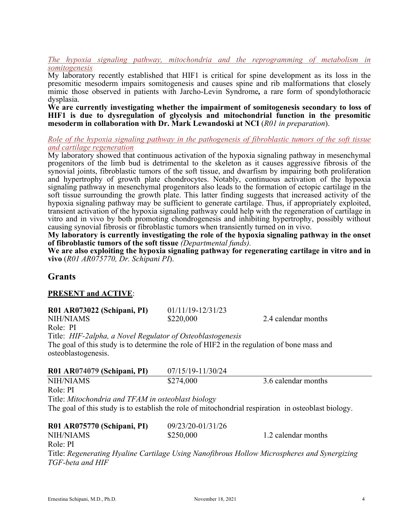#### *The hypoxia signaling pathway, mitochondria and the reprogramming of metabolism in somitogenesis*

My laboratory recently established that HIF1 is critical for spine development as its loss in the presomitic mesoderm impairs somitogenesis and causes spine and rib malformations that closely mimic those observed in patients with Jarcho-Levin Syndrome*,* a rare form of spondylothoracic

dysplasia. **We are currently investigating whether the impairment of somitogenesis secondary to loss of HIF1 is due to dysregulation of glycolysis and mitochondrial function in the presomitic mesoderm in collaboration with Dr. Mark Lewandoski at NCI** (*R01 in preparation*).

*Role of the hypoxia signaling pathway in the pathogenesis of fibroblastic tumors of the soft tissue and cartilage regeneration*

My laboratory showed that continuous activation of the hypoxia signaling pathway in mesenchymal progenitors of the limb bud is detrimental to the skeleton as it causes aggressive fibrosis of the synovial joints, fibroblastic tumors of the soft tissue, and dwarfism by impairing both proliferation and hypertrophy of growth plate chondrocytes. Notably, continuous activation of the hypoxia signaling pathway in mesenchymal progenitors also leads to the formation of ectopic cartilage in the soft tissue surrounding the growth plate. This latter finding suggests that increased activity of the hypoxia signaling pathway may be sufficient to generate cartilage. Thus, if appropriately exploited, transient activation of the hypoxia signaling pathway could help with the regeneration of cartilage in vitro and in vivo by both promoting chondrogenesis and inhibiting hypertrophy, possibly without causing synovial fibrosis or fibroblastic tumors when transiently turned on in vivo.

**My laboratory is currently investigating the role of the hypoxia signaling pathway in the onset of fibroblastic tumors of the soft tissue** *(Departmental funds).* **We are also exploiting the hypoxia signaling pathway for regenerating cartilage in vitro and in** 

**vivo** (*R01 AR075770, Dr. Schipani PI*).

### **Grants**

#### **PRESENT and ACTIVE**:

| R01 AR073022 (Schipani, PI) |  |  |
|-----------------------------|--|--|
|-----------------------------|--|--|

**R01 AR073022 (Schipani, PI)** 01/11/19-12/31/23

NIH/NIAMS  $$220,000$  2.4 calendar months

Role: PI

Title: *HIF-2alpha, a Novel Regulator of Osteoblastogenesis* The goal of this study is to determine the role of HIF2 in the regulation of bone mass and osteoblastogenesis.

| R01 AR074079 (Schipani, PI)                                                                         | 07/15/19-11/30/24 |                     |
|-----------------------------------------------------------------------------------------------------|-------------------|---------------------|
| <b>NIH/NIAMS</b>                                                                                    | \$274,000         | 3.6 calendar months |
| Role: PI                                                                                            |                   |                     |
| Title: Mitochondria and TFAM in osteoblast biology                                                  |                   |                     |
| The goal of this study is to establish the role of mitochondrial respiration in osteoblast biology. |                   |                     |
| R01 AR075770 (Schipani, PI)                                                                         | 09/23/20-01/31/26 |                     |
| <b>NIH/NIAMS</b>                                                                                    | \$250,000         | 1.2 calendar months |
| Role: PI                                                                                            |                   |                     |

Title: *Regenerating Hyaline Cartilage Using Nanofibrous Hollow Microspheres and Synergizing TGF-beta and HIF*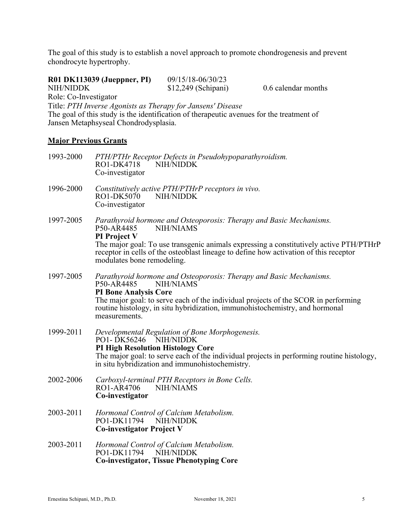The goal of this study is to establish a novel approach to promote chondrogenesis and prevent chondrocyte hypertrophy.

| NIH/NIDDK<br>Role: Co-Investigator | R01 DK113039 (Jueppner, PI)<br>Jansen Metaphsyseal Chondrodysplasia. | 09/15/18-06/30/23<br>\$12,249 (Schipani)<br>Title: PTH Inverse Agonists as Therapy for Jansens' Disease<br>The goal of this study is the identification of therapeutic avenues for the treatment of | 0.6 calendar months                                                                                                                                                             |
|------------------------------------|----------------------------------------------------------------------|-----------------------------------------------------------------------------------------------------------------------------------------------------------------------------------------------------|---------------------------------------------------------------------------------------------------------------------------------------------------------------------------------|
| <b>Major Previous Grants</b>       |                                                                      |                                                                                                                                                                                                     |                                                                                                                                                                                 |
| 1993-2000                          | RO1-DK4718<br>Co-investigator                                        | PTH/PTHr Receptor Defects in Pseudohypoparathyroidism.<br><b>NIH/NIDDK</b>                                                                                                                          |                                                                                                                                                                                 |
| 1996-2000                          | RO1-DK5070<br>Co-investigator                                        | Constitutively active PTH/PTHrP receptors in vivo.<br>NIH/NIDDK                                                                                                                                     |                                                                                                                                                                                 |
| 1997-2005                          | P50-AR4485<br>PI Project V<br>modulates bone remodeling.             | Parathyroid hormone and Osteoporosis: Therapy and Basic Mechanisms.<br><b>NIH/NIAMS</b>                                                                                                             | The major goal: To use transgenic animals expressing a constitutively active PTH/PTHrP<br>receptor in cells of the osteoblast lineage to define how activation of this receptor |
| 1997-2005                          | P50-AR4485<br><b>PI Bone Analysis Core</b><br>measurements.          | Parathyroid hormone and Osteoporosis: Therapy and Basic Mechanisms.<br><b>NIH/NIAMS</b><br>routine histology, in situ hybridization, immunohistochemistry, and hormonal                             | The major goal: to serve each of the individual projects of the SCOR in performing                                                                                              |
| 1999-2011                          |                                                                      | Developmental Regulation of Bone Morphogenesis.                                                                                                                                                     |                                                                                                                                                                                 |

PO1-DK56246 NIH/NIDDK **PI High Resolution Histology Core** The major goal: to serve each of the individual projects in performing routine histology, in situ hybridization and immunohistochemistry.

- 2002-2006 *Carboxyl-terminal PTH Receptors in Bone Cells.* RO1-AR4706 NIH/NIAMS **Co-investigator**
- 2003-2011 *Hormonal Control of Calcium Metabolism.* PO1-DK11794 NIH/NIDDK **Co-investigator Project V**
- 2003-2011 *Hormonal Control of Calcium Metabolism.* PO1-DK11794 NIH/NIDDK **Co-investigator, Tissue Phenotyping Core**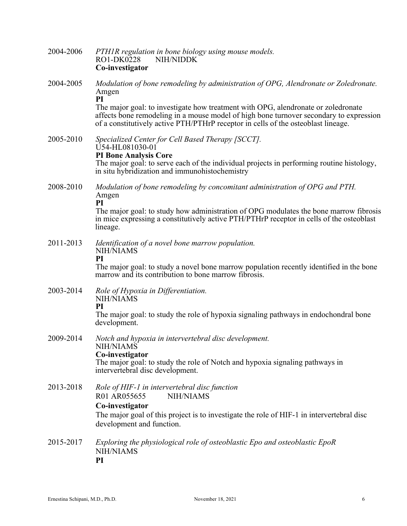| 2004-2006 | PTHIR regulation in bone biology using mouse models.<br>RO1-DK0228<br>NIH/NIDDK<br>Co-investigator                                                                                                                                                               |
|-----------|------------------------------------------------------------------------------------------------------------------------------------------------------------------------------------------------------------------------------------------------------------------|
| 2004-2005 | Modulation of bone remodeling by administration of OPG, Alendronate or Zoledronate.<br>Amgen<br>PI                                                                                                                                                               |
|           | The major goal: to investigate how treatment with OPG, alendronate or zoledronate<br>affects bone remodeling in a mouse model of high bone turnover secondary to expression<br>of a constitutively active PTH/PTHrP receptor in cells of the osteoblast lineage. |
| 2005-2010 | Specialized Center for Cell Based Therapy [SCCT].<br>U54-HL081030-01<br><b>PI Bone Analysis Core</b><br>The major goal: to serve each of the individual projects in performing routine histology,                                                                |
|           | in situ hybridization and immunohistochemistry                                                                                                                                                                                                                   |
| 2008-2010 | Modulation of bone remodeling by concomitant administration of OPG and PTH.<br>Amgen<br>PI                                                                                                                                                                       |
|           | The major goal: to study how administration of OPG modulates the bone marrow fibrosis<br>in mice expressing a constitutively active PTH/PTHrP receptor in cells of the osteoblast<br>lineage.                                                                    |
| 2011-2013 | Identification of a novel bone marrow population.<br>NIH/NIAMS<br>PI                                                                                                                                                                                             |
|           | The major goal: to study a novel bone marrow population recently identified in the bone<br>marrow and its contribution to bone marrow fibrosis.                                                                                                                  |
| 2003-2014 | Role of Hypoxia in Differentiation.<br>NIH/NIAMS<br>PI                                                                                                                                                                                                           |
|           | The major goal: to study the role of hypoxia signaling pathways in endochondral bone<br>development.                                                                                                                                                             |
| 2009-2014 | Notch and hypoxia in intervertebral disc development.<br>NIH/NIAMS<br>Co-investigator                                                                                                                                                                            |
|           | The major goal: to study the role of Notch and hypoxia signaling pathways in<br>intervertebral disc development.                                                                                                                                                 |
| 2013-2018 | Role of HIF-1 in intervertebral disc function<br>R01 AR055655<br><b>NIH/NIAMS</b>                                                                                                                                                                                |
|           | Co-investigator<br>The major goal of this project is to investigate the role of HIF-1 in intervertebral disc<br>development and function.                                                                                                                        |
| 2015-2017 | Exploring the physiological role of osteoblastic Epo and osteoblastic EpoR<br><b>NIH/NIAMS</b><br>PI                                                                                                                                                             |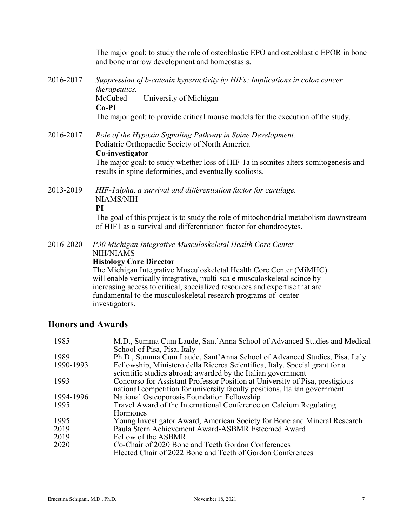The major goal: to study the role of osteoblastic EPO and osteoblastic EPOR in bone and bone marrow development and homeostasis.

- 2016-2017 *Suppression of b-catenin hyperactivity by HIFs: Implications in colon cancer therapeutics.* McCubed University of Michigan **Co-PI** The major goal: to provide critical mouse models for the execution of the study.
- 2016-2017 *Role of the Hypoxia Signaling Pathway in Spine Development.* Pediatric Orthopaedic Society of North America **Co-investigator**

The major goal: to study whether loss of HIF-1a in somites alters somitogenesis and results in spine deformities, and eventually scoliosis.

2013-2019 *HIF-1alpha, a survival and differentiation factor for cartilage.* NIAMS/NIH

**PI**

The goal of this project is to study the role of mitochondrial metabolism downstream of HIF1 as a survival and differentiation factor for chondrocytes.

2016-2020 *P30 Michigan Integrative Musculoskeletal Health Core Center*

NIH/NIAMS

#### **Histology Core Director**

The Michigan Integrative Musculoskeletal Health Core Center (MiMHC) will enable vertically integrative, multi-scale musculoskeletal scince by increasing access to critical, specialized resources and expertise that are fundamental to the musculoskeletal research programs of center investigators.

## **Honors and Awards**

| 1985      | M.D., Summa Cum Laude, Sant'Anna School of Advanced Studies and Medical<br>School of Pisa, Pisa, Italy |
|-----------|--------------------------------------------------------------------------------------------------------|
| 1989      | Ph.D., Summa Cum Laude, Sant'Anna School of Advanced Studies, Pisa, Italy                              |
| 1990-1993 | Fellowship, Ministero della Ricerca Scientifica, Italy. Special grant for a                            |
|           | scientific studies abroad; awarded by the Italian government                                           |
| 1993      | Concorso for Assistant Professor Position at University of Pisa, prestigious                           |
|           | national competition for university faculty positions, Italian government                              |
| 1994-1996 | National Osteoporosis Foundation Fellowship                                                            |
| 1995      | Travel Award of the International Conference on Calcium Regulating                                     |
|           | <b>Hormones</b>                                                                                        |
| 1995      | Young Investigator Award, American Society for Bone and Mineral Research                               |
| 2019      | Paula Stern Achievement Award-ASBMR Esteemed Award                                                     |
| 2019      | Fellow of the ASBMR                                                                                    |
| 2020      | Co-Chair of 2020 Bone and Teeth Gordon Conferences                                                     |
|           | Elected Chair of 2022 Bone and Teeth of Gordon Conferences                                             |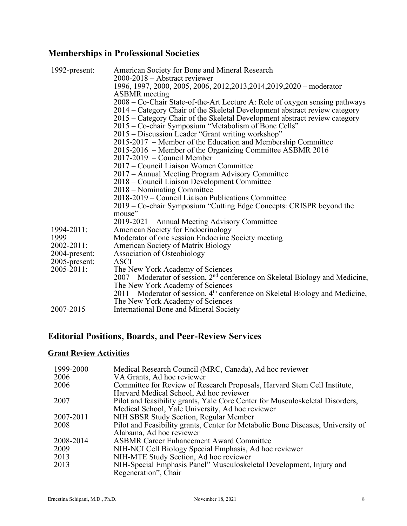# **Memberships in Professional Societies**

| 1992-present: | American Society for Bone and Mineral Research                                              |
|---------------|---------------------------------------------------------------------------------------------|
|               | 2000-2018 – Abstract reviewer                                                               |
|               | 1996, 1997, 2000, 2005, 2006, 2012, 2013, 2014, 2019, 2020 - moderator                      |
|               | <b>ASBMR</b> meeting                                                                        |
|               | 2008 – Co-Chair State-of-the-Art Lecture A: Role of oxygen sensing pathways                 |
|               | 2014 – Category Chair of the Skeletal Development abstract review category                  |
|               | 2015 – Category Chair of the Skeletal Development abstract review category                  |
|               | 2015 – Co-chair Symposium "Metabolism of Bone Cells"                                        |
|               | 2015 – Discussion Leader "Grant writing workshop"                                           |
|               | 2015-2017 – Member of the Education and Membership Committee                                |
|               | 2015-2016 – Member of the Organizing Committee ASBMR 2016                                   |
|               | $2017-2019$ – Council Member                                                                |
|               | 2017 – Council Liaison Women Committee                                                      |
|               | 2017 – Annual Meeting Program Advisory Committee                                            |
|               | 2018 – Council Liaison Development Committee                                                |
|               | 2018 – Nominating Committee                                                                 |
|               | 2018-2019 – Council Liaison Publications Committee                                          |
|               | 2019 – Co-chair Symposium "Cutting Edge Concepts: CRISPR beyond the                         |
|               | mouse"                                                                                      |
|               | 2019-2021 – Annual Meeting Advisory Committee                                               |
| 1994-2011:    | American Society for Endocrinology                                                          |
| 1999          | Moderator of one session Endocrine Society meeting                                          |
| 2002-2011:    | American Society of Matrix Biology                                                          |
| 2004-present: | Association of Osteobiology                                                                 |
| 2005-present: | <b>ASCI</b>                                                                                 |
| 2005-2011:    | The New York Academy of Sciences                                                            |
|               | 2007 – Moderator of session, 2 <sup>nd</sup> conference on Skeletal Biology and Medicine,   |
|               | The New York Academy of Sciences                                                            |
|               | $2011$ – Moderator of session, 4 <sup>th</sup> conference on Skeletal Biology and Medicine, |
|               | The New York Academy of Sciences                                                            |
| 2007-2015     | International Bone and Mineral Society                                                      |

# **Editorial Positions, Boards, and Peer-Review Services**

# **Grant Review Activities**

| 1999-2000 | Medical Research Council (MRC, Canada), Ad hoc reviewer                         |
|-----------|---------------------------------------------------------------------------------|
| 2006      | VA Grants, Ad hoc reviewer                                                      |
| 2006      | Committee for Review of Research Proposals, Harvard Stem Cell Institute,        |
|           | Harvard Medical School, Ad hoc reviewer                                         |
| 2007      | Pilot and feasibility grants, Yale Core Center for Musculoskeletal Disorders,   |
|           | Medical School, Yale University, Ad hoc reviewer                                |
| 2007-2011 | NIH SBSR Study Section, Regular Member                                          |
| 2008      | Pilot and Feasibility grants, Center for Metabolic Bone Diseases, University of |
|           | Alabama, Ad hoc reviewer                                                        |
| 2008-2014 | <b>ASBMR Career Enhancement Award Committee</b>                                 |
| 2009      | NIH-NCI Cell Biology Special Emphasis, Ad hoc reviewer                          |
| 2013      | NIH-MTE Study Section, Ad hoc reviewer                                          |
| 2013      | NIH-Special Emphasis Panel" Musculoskeletal Development, Injury and             |
|           | Regeneration", Chair                                                            |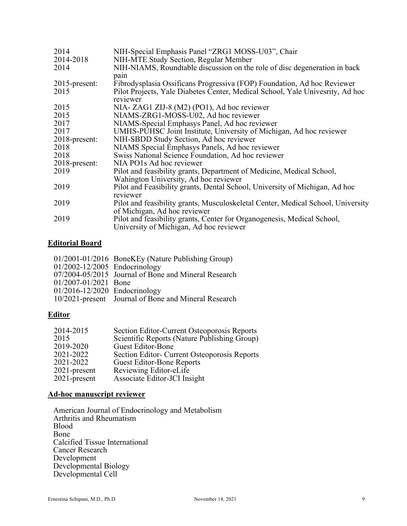| 2014             | NIH-Special Emphasis Panel "ZRG1 MOSS-U03", Chair                                |
|------------------|----------------------------------------------------------------------------------|
| 2014-2018        | NIH-MTE Study Section, Regular Member                                            |
| 2014             | NIH-NIAMS, Roundtable discussion on the role of disc degeneration in back        |
|                  | pain                                                                             |
| $2015$ -present: | Fibrodysplasia Ossificans Progressiva (FOP) Foundation, Ad hoc Reviewer          |
| 2015             | Pilot Projects, Yale Diabetes Center, Medical School, Yale University, Ad hoc    |
|                  | reviewer                                                                         |
| 2015             | NIA- ZAG1 ZIJ-8 (M2) (PO1), Ad hoc reviewer                                      |
| 2015             | NIAMS-ZRG1-MOSS-U02, Ad hoc reviewer                                             |
| 2017             | NIAMS-Special Emphasys Panel, Ad hoc reviewer                                    |
| 2017             | UMHS-PUHSC Joint Institute, University of Michigan, Ad hoc reviewer              |
| 2018-present:    | NIH-SBDD Study Section, Ad hoc reviewer                                          |
| 2018             | NIAMS Special Emphasys Panels, Ad hoc reviewer                                   |
| 2018             | Swiss National Science Foundation, Ad hoc reviewer                               |
| 2018-present:    | NIA PO1s Ad hoc reviewer                                                         |
| 2019             | Pilot and feasibility grants, Department of Medicine, Medical School,            |
|                  | Wahington University, Ad hoc reviewer                                            |
| 2019             | Pilot and Feasibility grants, Dental School, University of Michigan, Ad hoc      |
|                  | reviewer                                                                         |
| 2019             | Pilot and feasibility grants, Musculoskeletal Center, Medical School, University |
|                  | of Michigan, Ad hoc reviewer                                                     |
| 2019             | Pilot and feasibility grants, Center for Organogenesis, Medical School,          |
|                  | University of Michigan, Ad hoc reviewer                                          |

## **Editorial Board**

|                               | 01/2001-01/2016 BoneKEy (Nature Publishing Group)    |
|-------------------------------|------------------------------------------------------|
| 01/2002-12/2005 Endocrinology |                                                      |
|                               | 07/2004-05/2015 Journal of Bone and Mineral Research |
| 01/2007-01/2021 Bone          |                                                      |
| 01/2016-12/2020 Endocrinology |                                                      |
|                               | 10/2021-present Journal of Bone and Mineral Research |

### **Editor**

| 2014-2015       | Section Editor-Current Osteoporosis Reports  |
|-----------------|----------------------------------------------|
| 2015            | Scientific Reports (Nature Publishing Group) |
| 2019-2020       | Guest Editor-Bone                            |
| 2021-2022       | Section Editor- Current Osteoporosis Reports |
| 2021-2022       | <b>Guest Editor-Bone Reports</b>             |
| $2021$ -present | Reviewing Editor-eLife                       |
| $2021$ -present | Associate Editor-JCI Insight                 |

## **Ad-hoc manuscript reviewer**

American Journal of Endocrinology and Metabolism Arthritis and Rheumatism Blood Bone Calcified Tissue International Cancer Research Development Developmental Biology Developmental Cell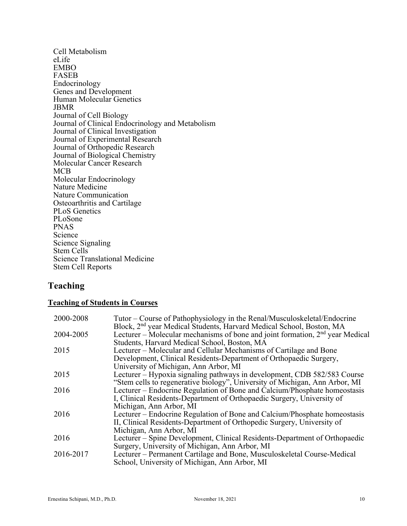Cell Metabolism eLife EMBO FASEB Endocrinology Genes and Development Human Molecular Genetics JBMR Journal of Cell Biology Journal of Clinical Endocrinology and Metabolism Journal of Clinical Investigation Journal of Experimental Research Journal of Orthopedic Research Journal of Biological Chemistry Molecular Cancer Research MCB Molecular Endocrinology Nature Medicine Nature Communication Osteoarthritis and Cartilage PLoS Genetics PLoSone PNAS Science Science Signaling Stem Cells Science Translational Medicine Stem Cell Reports

# **Teaching**

#### **Teaching of Students in Courses**

| 2000-2008 | Tutor – Course of Pathophysiology in the Renal/Musculoskeletal/Endocrine                                                                                            |
|-----------|---------------------------------------------------------------------------------------------------------------------------------------------------------------------|
| 2004-2005 | Block, 2 <sup>nd</sup> year Medical Students, Harvard Medical School, Boston, MA<br>Lecturer – Molecular mechanisms of bone and joint formation, $2nd$ year Medical |
|           | Students, Harvard Medical School, Boston, MA                                                                                                                        |
| 2015      | Lecturer – Molecular and Cellular Mechanisms of Cartilage and Bone                                                                                                  |
|           | Development, Clinical Residents-Department of Orthopaedic Surgery,                                                                                                  |
|           | University of Michigan, Ann Arbor, MI                                                                                                                               |
| 2015      | Lecturer – Hypoxia signaling pathways in development, CDB 582/583 Course                                                                                            |
|           | "Stem cells to regenerative biology", University of Michigan, Ann Arbor, MI                                                                                         |
| 2016      | Lecturer – Endocrine Regulation of Bone and Calcium/Phosphate homeostasis                                                                                           |
|           | I. Clinical Residents-Department of Orthopaedic Surgery, University of                                                                                              |
|           | Michigan, Ann Arbor, MI                                                                                                                                             |
| 2016      | Lecturer – Endocrine Regulation of Bone and Calcium/Phosphate homeostasis                                                                                           |
|           | II, Clinical Residents-Department of Orthopedic Surgery, University of                                                                                              |
|           | Michigan, Ann Arbor, MI                                                                                                                                             |
| 2016      | Lecturer – Spine Development, Clinical Residents-Department of Orthopaedic                                                                                          |
|           | Surgery, University of Michigan, Ann Arbor, MI                                                                                                                      |
| 2016-2017 | Lecturer – Permanent Cartilage and Bone, Musculoskeletal Course-Medical                                                                                             |
|           | School, University of Michigan, Ann Arbor, MI                                                                                                                       |
|           |                                                                                                                                                                     |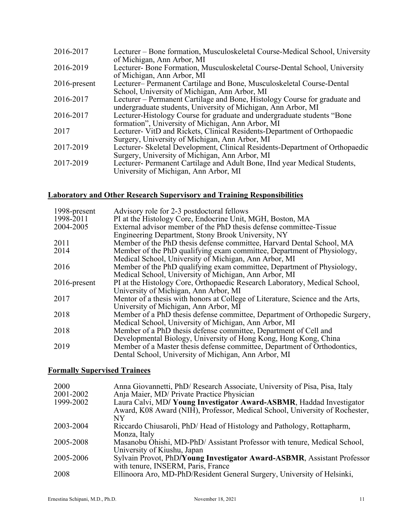| 2016-2017       | Lecturer – Bone formation, Musculoskeletal Course-Medical School, University<br>of Michigan, Ann Arbor, MI                                  |
|-----------------|---------------------------------------------------------------------------------------------------------------------------------------------|
| 2016-2019       | Lecturer-Bone Formation, Musculoskeletal Course-Dental School, University<br>of Michigan, Ann Arbor, MI                                     |
| $2016$ -present | Lecturer– Permanent Cartilage and Bone, Musculoskeletal Course-Dental<br>School, University of Michigan, Ann Arbor, MI                      |
| 2016-2017       | Lecturer – Permanent Cartilage and Bone, Histology Course for graduate and<br>undergraduate students, University of Michigan, Ann Arbor, MI |
| 2016-2017       | Lecturer-Histology Course for graduate and undergraduate students "Bone                                                                     |
| 2017            | formation", University of Michigan, Ann Arbor, MI<br>Lecturer- VitD and Rickets, Clinical Residents-Department of Orthopaedic               |
| 2017-2019       | Surgery, University of Michigan, Ann Arbor, MI<br>Lecturer- Skeletal Development, Clinical Residents-Department of Orthopaedic              |
|                 | Surgery, University of Michigan, Ann Arbor, MI                                                                                              |
| 2017-2019       | Lecturer- Permanent Cartilage and Adult Bone, IInd year Medical Students,<br>University of Michigan, Ann Arbor, MI                          |

# **Laboratory and Other Research Supervisory and Training Responsibilities**

| 1998-present<br>1998-2011 | Advisory role for 2-3 postdoctoral fellows<br>PI at the Histology Core, Endocrine Unit, MGH, Boston, MA |
|---------------------------|---------------------------------------------------------------------------------------------------------|
| 2004-2005                 | External advisor member of the PhD thesis defense committee-Tissue                                      |
|                           | Engineering Department, Stony Brook University, NY                                                      |
| 2011                      | Member of the PhD thesis defense committee, Harvard Dental School, MA                                   |
| 2014                      | Member of the PhD qualifying exam committee, Department of Physiology,                                  |
|                           | Medical School, University of Michigan, Ann Arbor, MI                                                   |
| 2016                      | Member of the PhD qualifying exam committee, Department of Physiology,                                  |
|                           | Medical School, University of Michigan, Ann Arbor, MI                                                   |
| $2016$ -present           | PI at the Histology Core, Orthopaedic Research Laboratory, Medical School,                              |
|                           | University of Michigan, Ann Arbor, MI                                                                   |
| 2017                      | Mentor of a thesis with honors at College of Literature, Science and the Arts,                          |
|                           | University of Michigan, Ann Arbor, MI                                                                   |
| 2018                      | Member of a PhD thesis defense committee, Department of Orthopedic Surgery,                             |
|                           | Medical School, University of Michigan, Ann Arbor, MI                                                   |
| 2018                      | Member of a PhD thesis defense committee, Department of Cell and                                        |
|                           | Developmental Biology, University of Hong Kong, Hong Kong, China                                        |
| 2019                      | Member of a Master thesis defense committee, Department of Orthodontics,                                |
|                           | Dental School, University of Michigan, Ann Arbor, MI                                                    |

# **Formally Supervised Trainees**

| 2000<br>2001-2002 | Anna Giovannetti, PhD/ Research Associate, University of Pisa, Pisa, Italy<br>Anja Maier, MD/ Private Practice Physician                            |
|-------------------|-----------------------------------------------------------------------------------------------------------------------------------------------------|
| 1999-2002         | Laura Calvi, MD/ Young Investigator Award-ASBMR, Haddad Investigator<br>Award, K08 Award (NIH), Professor, Medical School, University of Rochester, |
| 2003-2004         | NΥ<br>Riccardo Chiusaroli, PhD/Head of Histology and Pathology, Rottapharm,<br>Monza, Italy                                                         |
| 2005-2008         | Masanobu Ohishi, MD-PhD/ Assistant Professor with tenure, Medical School,<br>University of Kiushu, Japan                                            |
| 2005-2006         | Sylvain Provot, PhD/Young Investigator Award-ASBMR, Assistant Professor<br>with tenure, INSERM, Paris, France                                       |
| 2008              | Ellinoora Aro, MD-PhD/Resident General Surgery, University of Helsinki,                                                                             |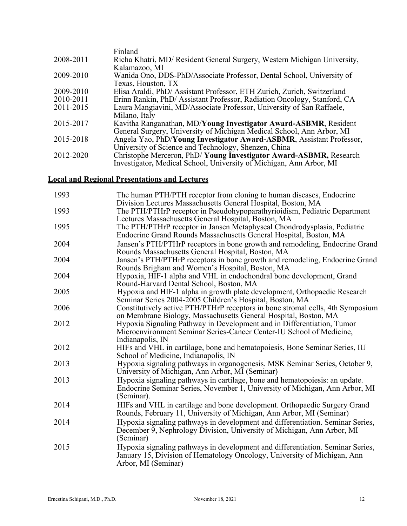|           | Finland                                                                  |
|-----------|--------------------------------------------------------------------------|
| 2008-2011 | Richa Khatri, MD/ Resident General Surgery, Western Michigan University, |
|           | Kalamazoo, MI                                                            |
| 2009-2010 | Wanida Ono, DDS-PhD/Associate Professor, Dental School, University of    |
|           | Texas, Houston, TX                                                       |
| 2009-2010 | Elisa Araldi, PhD/ Assistant Professor, ETH Zurich, Zurich, Switzerland  |
| 2010-2011 | Erinn Rankin, PhD/ Assistant Professor, Radiation Oncology, Stanford, CA |
| 2011-2015 | Laura Mangiavini, MD/Associate Professor, University of San Raffaele,    |
|           | Milano, Italy                                                            |
| 2015-2017 | Kavitha Ranganathan, MD/Young Investigator Award-ASBMR, Resident         |
|           | General Surgery, University of Michigan Medical School, Ann Arbor, MI    |
| 2015-2018 | Angela Yao, PhD/Young Investigator Award-ASBMR, Assistant Professor,     |
|           | University of Science and Technology, Shenzen, China                     |
| 2012-2020 | Christophe Merceron, PhD/Young Investigator Award-ASBMR, Research        |
|           | Investigator, Medical School, University of Michigan, Ann Arbor, MI      |
|           |                                                                          |

## **Local and Regional Presentations and Lectures**

| 1993 | The human PTH/PTH receptor from cloning to human diseases, Endocrine<br>Division Lectures Massachusetts General Hospital, Boston, MA                                                                 |
|------|------------------------------------------------------------------------------------------------------------------------------------------------------------------------------------------------------|
| 1993 | The PTH/PTHrP receptor in Pseudohypoparathyrioidism, Pediatric Department                                                                                                                            |
| 1995 | Lectures Massachusetts General Hospital, Boston, MA<br>The PTH/PTHrP receptor in Jansen Metaphyseal Chondrodysplasia, Pediatric<br>Endocrine Grand Rounds Massachusetts General Hospital, Boston, MA |
| 2004 | Jansen's PTH/PTHrP receptors in bone growth and remodeling, Endocrine Grand<br>Rounds Massachusetts General Hospital, Boston, MA                                                                     |
| 2004 | Jansen's PTH/PTHrP receptors in bone growth and remodeling, Endocrine Grand<br>Rounds Brigham and Women's Hospital, Boston, MA                                                                       |
| 2004 | Hypoxia, HIF-1 alpha and VHL in endochondral bone development, Grand<br>Round-Harvard Dental School, Boston, MA                                                                                      |
| 2005 | Hypoxia and HIF-1 alpha in growth plate development, Orthopaedic Research<br>Seminar Series 2004-2005 Children's Hospital, Boston, MA                                                                |
| 2006 | Constitutively active PTH/PTHrP receptors in bone stromal cells, 4th Symposium<br>on Membrane Biology, Massachusetts General Hospital, Boston, MA                                                    |
| 2012 | Hypoxia Signaling Pathway in Development and in Differentiation, Tumor<br>Microenvironment Seminar Series-Cancer Center-IU School of Medicine,<br>Indianapolis, IN                                   |
| 2012 | HIFs and VHL in cartilage, bone and hematopoiesis, Bone Seminar Series, IU<br>School of Medicine, Indianapolis, IN                                                                                   |
| 2013 | Hypoxia signaling pathways in organogenesis. MSK Seminar Series, October 9,<br>University of Michigan, Ann Arbor, MI (Seminar)                                                                       |
| 2013 | Hypoxia signaling pathways in cartilage, bone and hematopoiesis: an update.<br>Endocrine Seminar Series, November 1, University of Michigan, Ann Arbor, MI<br>(Seminar).                             |
| 2014 | HIFs and VHL in cartilage and bone development. Orthopaedic Surgery Grand<br>Rounds, February 11, University of Michigan, Ann Arbor, MI (Seminar)                                                    |
| 2014 | Hypoxia signaling pathways in development and differentiation. Seminar Series,<br>December 9, Nephrology Division, University of Michigan, Ann Arbor, MI<br>(Seminar)                                |
| 2015 | Hypoxia signaling pathways in development and differentiation. Seminar Series,<br>January 15, Division of Hematology Oncology, University of Michigan, Ann<br>Arbor, MI (Seminar)                    |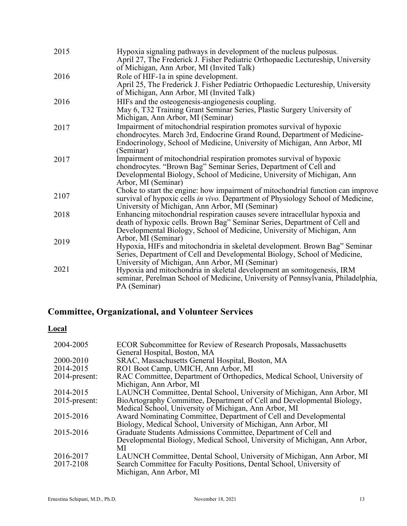| 2015 | Hypoxia signaling pathways in development of the nucleus pulposus.<br>April 27, The Frederick J. Fisher Pediatric Orthopaedic Lectureship, University<br>of Michigan, Ann Arbor, MI (Invited Talk)                                        |
|------|-------------------------------------------------------------------------------------------------------------------------------------------------------------------------------------------------------------------------------------------|
| 2016 | Role of HIF-1a in spine development.<br>April 25, The Frederick J. Fisher Pediatric Orthopaedic Lectureship, University<br>of Michigan, Ann Arbor, MI (Invited Talk)                                                                      |
| 2016 | HIFs and the osteogenesis-angiogenesis coupling.<br>May 6, T32 Training Grant Seminar Series, Plastic Surgery University of<br>Michigan, Ann Arbor, MI (Seminar)                                                                          |
| 2017 | Impairment of mitochondrial respiration promotes survival of hypoxic<br>chondrocytes. March 3rd, Endocrine Grand Round, Department of Medicine-<br>Endocrinology, School of Medicine, University of Michigan, Ann Arbor, MI<br>(Seminar)  |
| 2017 | Impairment of mitochondrial respiration promotes survival of hypoxic<br>chondrocytes. "Brown Bag" Seminar Series, Department of Cell and<br>Developmental Biology, School of Medicine, University of Michigan, Ann<br>Arbor, MI (Seminar) |
| 2107 | Choke to start the engine: how impairment of mitochondrial function can improve<br>survival of hypoxic cells in vivo. Department of Physiology School of Medicine,<br>University of Michigan, Ann Arbor, MI (Seminar)                     |
| 2018 | Enhancing mitochondrial respiration causes severe intracellular hypoxia and<br>death of hypoxic cells. Brown Bag" Seminar Series, Department of Cell and<br>Developmental Biology, School of Medicine, University of Michigan, Ann        |
| 2019 | Arbor, MI (Seminar)<br>Hypoxia, HIFs and mitochondria in skeletal development. Brown Bag" Seminar<br>Series, Department of Cell and Developmental Biology, School of Medicine,                                                            |
| 2021 | University of Michigan, Ann Arbor, MI (Seminar)<br>Hypoxia and mitochondria in skeletal development an somitogenesis, IRM<br>seminar, Perelman School of Medicine, University of Pennsylvania, Philadelphia,<br>PA (Seminar)              |

# **Committee, Organizational, and Volunteer Services**

## **Local**

| 2004-2005              | ECOR Subcommittee for Review of Research Proposals, Massachusetts<br>General Hospital, Boston, MA                                                                         |
|------------------------|---------------------------------------------------------------------------------------------------------------------------------------------------------------------------|
| 2000-2010              | SRAC, Massachusetts General Hospital, Boston, MA                                                                                                                          |
| 2014-2015              | RO1 Boot Camp, UMICH, Ann Arbor, MI                                                                                                                                       |
| 2014-present:          | RAC Committee, Department of Orthopedics, Medical School, University of<br>Michigan, Ann Arbor, MI                                                                        |
| 2014-2015              | LAUNCH Committee, Dental School, University of Michigan, Ann Arbor, MI                                                                                                    |
| $2015$ -present:       | BioArtography Committee, Department of Cell and Developmental Biology,<br>Medical School, University of Michigan, Ann Arbor, MI                                           |
| 2015-2016              | Award Nominating Committee, Department of Cell and Developmental<br>Biology, Medical School, University of Michigan, Ann Arbor, MI                                        |
| 2015-2016              | Graduate Students Admissions Committee, Department of Cell and<br>Developmental Biology, Medical School, University of Michigan, Ann Arbor,<br>MI                         |
| 2016-2017<br>2017-2108 | LAUNCH Committee, Dental School, University of Michigan, Ann Arbor, MI<br>Search Committee for Faculty Positions, Dental School, University of<br>Michigan, Ann Arbor, MI |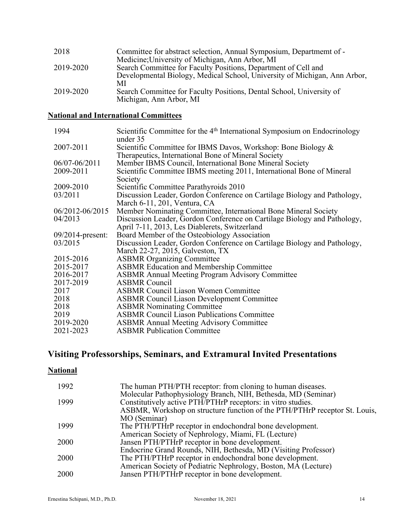| 2018      | Committee for abstract selection, Annual Symposium, Department of -<br>Medicine; University of Michigan, Ann Arbor, MI                      |
|-----------|---------------------------------------------------------------------------------------------------------------------------------------------|
| 2019-2020 | Search Committee for Faculty Positions, Department of Cell and<br>Developmental Biology, Medical School, University of Michigan, Ann Arbor, |
| 2019-2020 | МI<br>Search Committee for Faculty Positions, Dental School, University of<br>Michigan, Ann Arbor, MI                                       |

# **National and International Committees**

| Scientific Committee for the 4 <sup>th</sup> International Symposium on Endocrinology<br>under 35 |
|---------------------------------------------------------------------------------------------------|
| Scientific Committee for IBMS Davos, Workshop: Bone Biology &                                     |
| Therapeutics, International Bone of Mineral Society                                               |
| Member IBMS Council, International Bone Mineral Society                                           |
| Scientific Committee IBMS meeting 2011, International Bone of Mineral                             |
| Society                                                                                           |
| Scientific Committee Parathyroids 2010                                                            |
| Discussion Leader, Gordon Conference on Cartilage Biology and Pathology,                          |
| March 6-11, 201, Ventura, CA                                                                      |
| Member Nominating Committee, International Bone Mineral Society                                   |
| Discussion Leader, Gordon Conference on Cartilage Biology and Pathology,                          |
| April 7-11, 2013, Les Diablerets, Switzerland                                                     |
| Board Member of the Osteobiology Association                                                      |
| Discussion Leader, Gordon Conference on Cartilage Biology and Pathology,                          |
| March 22-27, 2015, Galveston, TX                                                                  |
| <b>ASBMR</b> Organizing Committee                                                                 |
| <b>ASBMR Education and Membership Committee</b>                                                   |
| <b>ASBMR Annual Meeting Program Advisory Committee</b>                                            |
| <b>ASBMR</b> Council                                                                              |
| <b>ASBMR Council Liason Women Committee</b>                                                       |
| <b>ASBMR Council Liason Development Committee</b>                                                 |
| <b>ASBMR Nominating Committee</b>                                                                 |
| <b>ASBMR Council Liason Publications Committee</b>                                                |
| <b>ASBMR Annual Meeting Advisory Committee</b>                                                    |
| <b>ASBMR Publication Committee</b>                                                                |
|                                                                                                   |

# **Visiting Professorships, Seminars, and Extramural Invited Presentations**

# **National**

| 1992        | The human PTH/PTH receptor: from cloning to human diseases.                |
|-------------|----------------------------------------------------------------------------|
|             | Molecular Pathophysiology Branch, NIH, Bethesda, MD (Seminar)              |
| 1999        | Constitutively active PTH/PTHrP receptors: in vitro studies.               |
|             | ASBMR, Workshop on structure function of the PTH/PTHrP receptor St. Louis, |
|             | MO (Seminar)                                                               |
| 1999        | The PTH/PTHrP receptor in endochondral bone development.                   |
|             | American Society of Nephrology, Miami, FL (Lecture)                        |
| 2000        | Jansen PTH/PTHrP receptor in bone development.                             |
|             | Endocrine Grand Rounds, NIH, Bethesda, MD (Visiting Professor)             |
| 2000        | The PTH/PTHrP receptor in endochondral bone development.                   |
|             | American Society of Pediatric Nephrology, Boston, MA (Lecture)             |
| <b>2000</b> | Jansen PTH/PTHrP receptor in bone development.                             |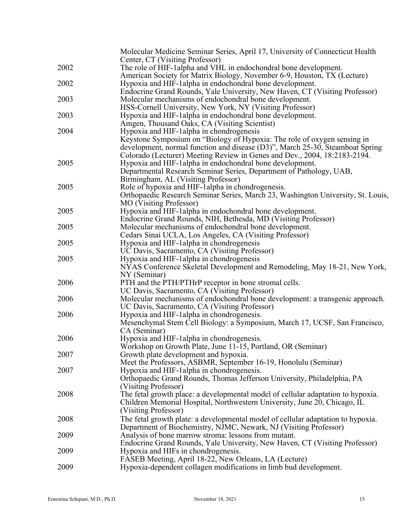|      | Molecular Medicine Seminar Series, April 17, University of Connecticut Health<br>Center, CT (Visiting Professor)                              |
|------|-----------------------------------------------------------------------------------------------------------------------------------------------|
| 2002 | The role of HIF-1 alpha and VHL in endochondral bone development.<br>American Society for Matrix Biology, November 6-9, Houston, TX (Lecture) |
| 2002 | Hypoxia and HIF-1alpha in endochondral bone development.                                                                                      |
| 2003 | Endocrine Grand Rounds, Yale University, New Haven, CT (Visiting Professor)<br>Molecular mechanisms of endochondral bone development.         |
|      | HSS-Cornell University, New York, NY (Visiting Professor)                                                                                     |
| 2003 | Hypoxia and HIF-1 alpha in endochondral bone development.                                                                                     |
|      | Amgen, Thousand Oaks, CA (Visiting Scientist)                                                                                                 |
| 2004 | Hypoxia and HIF-1alpha in chondrogenesis                                                                                                      |
|      | Keystone Symposium on "Biology of Hypoxia: The role of oxygen sensing in                                                                      |
|      | development, normal function and disease (D3)", March 25-30, Steamboat Spring                                                                 |
|      | Colorado (Lecturer) Meeting Review in Genes and Dev., 2004, 18:2183-2194.                                                                     |
| 2005 | Hypoxia and HIF-1 alpha in endochondral bone development.                                                                                     |
|      | Departmental Research Seminar Series, Department of Pathology, UAB,                                                                           |
|      | Birmingham, AL (Visiting Professor)                                                                                                           |
| 2005 | Role of hypoxia and HIF-1alpha in chondrogenesis.                                                                                             |
|      | Orthopaedic Research Seminar Series, March 23, Washington University, St. Louis,                                                              |
|      | <b>MO</b> (Visiting Professor)                                                                                                                |
| 2005 | Hypoxia and HIF-1 alpha in endochondral bone development.                                                                                     |
|      | Endocrine Grand Rounds, NIH, Bethesda, MD (Visiting Professor)                                                                                |
| 2005 | Molecular mechanisms of endochondral bone development.                                                                                        |
|      | Cedars Sinai UCLA, Los Angeles, CA (Visiting Professor)                                                                                       |
| 2005 | Hypoxia and HIF-1 alpha in chondrogenesis                                                                                                     |
| 2005 | UC Davis, Sacramento, CA (Visiting Professor)                                                                                                 |
|      | Hypoxia and HIF-1 alpha in chondrogenesis<br>NYAS Conference Skeletal Development and Remodeling, May 18-21, New York,                        |
|      | NY (Seminar)                                                                                                                                  |
| 2006 | PTH and the PTH/PTHrP receptor in bone stromal cells.                                                                                         |
|      | UC Davis, Sacramento, CA (Visiting Professor)                                                                                                 |
| 2006 | Molecular mechanisms of endochondral bone development: a transgenic approach.                                                                 |
|      | UC Davis, Sacramento, CA (Visiting Professor)                                                                                                 |
| 2006 | Hypoxia and HIF-1alpha in chondrogenesis.                                                                                                     |
|      | Mesenchymal Stem Cell Biology: a Symposium, March 17, UCSF, San Francisco,                                                                    |
|      | CA (Seminar)                                                                                                                                  |
| 2006 | Hypoxia and HIF-1 alpha in chondrogenesis.                                                                                                    |
|      | Workshop on Growth Plate, June 11-15, Portland, OR (Seminar)                                                                                  |
| 2007 | Growth plate development and hypoxia.                                                                                                         |
|      | Meet the Professors, ASBMR, September 16-19, Honolulu (Seminar)                                                                               |
| 2007 | Hypoxia and HIF-1 alpha in chondrogenesis.                                                                                                    |
|      | Orthopaedic Grand Rounds, Thomas Jefferson University, Philadelphia, PA                                                                       |
|      | (Visiting Professor)                                                                                                                          |
| 2008 | The fetal growth place: a developmental model of cellular adaptation to hypoxia.                                                              |
|      | Children Memorial Hospital, Northwestern University, June 20, Chicago, IL                                                                     |
|      | (Visiting Professor)                                                                                                                          |
| 2008 | The fetal growth plate: a developmental model of cellular adaptation to hypoxia.                                                              |
|      | Department of Biochemistry, NJMC, Newark, NJ (Visiting Professor)                                                                             |
| 2009 | Analysis of bone marrow stroma: lessons from mutant.<br>Endocrine Grand Rounds, Yale University, New Haven, CT (Visiting Professor)           |
| 2009 | Hypoxia and HIFs in chondrogenesis.                                                                                                           |
|      | FASEB Meeting, April 18-22, New Orleans, LA (Lecture)                                                                                         |
| 2009 | Hypoxia-dependent collagen modifications in limb bud development.                                                                             |
|      |                                                                                                                                               |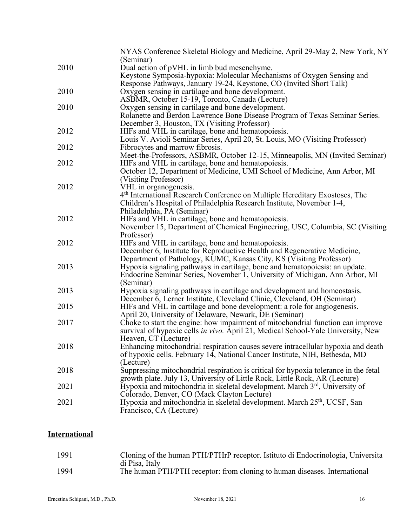|      | NYAS Conference Skeletal Biology and Medicine, April 29-May 2, New York, NY<br>(Seminar) |
|------|------------------------------------------------------------------------------------------|
| 2010 | Dual action of pVHL in limb bud mesenchyme.                                              |
|      | Keystone Symposia-hypoxia: Molecular Mechanisms of Oxygen Sensing and                    |
|      | Response Pathways, January 19-24, Keystone, CO (Invited Short Talk)                      |
| 2010 | Oxygen sensing in cartilage and bone development.                                        |
|      | ASBMR, October 15-19, Toronto, Canada (Lecture)                                          |
| 2010 | Oxygen sensing in cartilage and bone development.                                        |
|      | Rolanette and Berdon Lawrence Bone Disease Program of Texas Seminar Series.              |
|      | December 3, Houston, TX (Visiting Professor)                                             |
| 2012 | HIFs and VHL in cartilage, bone and hematopoiesis.                                       |
|      | Louis V. Avioli Seminar Series, April 20, St. Louis, MO (Visiting Professor)             |
| 2012 | Fibrocytes and marrow fibrosis.                                                          |
|      | Meet-the-Professors, ASBMR, October 12-15, Minneapolis, MN (Invited Seminar)             |
| 2012 | HIFs and VHL in cartilage, bone and hematopoiesis.                                       |
|      | October 12, Department of Medicine, UMI School of Medicine, Ann Arbor, MI                |
|      | (Visiting Professor)                                                                     |
| 2012 | VHL in organogenesis.                                                                    |
|      | 4 <sup>th</sup> International Research Conference on Multiple Hereditary Exostoses, The  |
|      | Children's Hospital of Philadelphia Research Institute, November 1-4,                    |
|      | Philadelphia, PA (Seminar)                                                               |
| 2012 | HIFs and VHL in cartilage, bone and hematopoiesis.                                       |
|      | November 15, Department of Chemical Engineering, USC, Columbia, SC (Visiting             |
|      | Professor)                                                                               |
| 2012 | HIFs and VHL in cartilage, bone and hematopoiesis.                                       |
|      | December 6, Institute for Reproductive Health and Regenerative Medicine,                 |
|      | Department of Pathology, KUMC, Kansas City, KS (Visiting Professor)                      |
| 2013 | Hypoxia signaling pathways in cartilage, bone and hematopoiesis: an update.              |
|      | Endocrine Seminar Series, November 1, University of Michigan, Ann Arbor, MI              |
|      | (Seminar)                                                                                |
| 2013 | Hypoxia signaling pathways in cartilage and development and homeostasis.                 |
|      | December 6, Lerner Institute, Cleveland Clinic, Cleveland, OH (Seminar)                  |
| 2015 | HIFs and VHL in cartilage and bone development: a role for angiogenesis.                 |
|      | April 20, University of Delaware, Newark, DE (Seminar)                                   |
| 2017 | Choke to start the engine: how impairment of mitochondrial function can improve          |
|      | survival of hypoxic cells in vivo. April 21, Medical School-Yale University, New         |
|      | Heaven, CT (Lecture)                                                                     |
| 2018 | Enhancing mitochondrial respiration causes severe intracellular hypoxia and death        |
|      | of hypoxic cells. February 14, National Cancer Institute, NIH, Bethesda, MD              |
|      | (Lecture)                                                                                |
| 2018 | Suppressing mitochondrial respiration is critical for hypoxia tolerance in the fetal     |
|      | growth plate. July 13, University of Little Rock, Little Rock, AR (Lecture)              |
| 2021 | Hypoxia and mitochondria in skeletal development. March 3 <sup>rd</sup> , University of  |
|      | Colorado, Denver, CO (Mack Clayton Lecture)                                              |
| 2021 | Hypoxia and mitochondria in skeletal development. March 25 <sup>th</sup> , UCSF, San     |
|      | Francisco, CA (Lecture)                                                                  |

# **International**

| 1991 | Cloning of the human PTH/PTHrP receptor. Istituto di Endocrinologia, Universita |
|------|---------------------------------------------------------------------------------|
|      | di Pisa, Italy                                                                  |
| 1994 | The human PTH/PTH receptor: from cloning to human diseases. International       |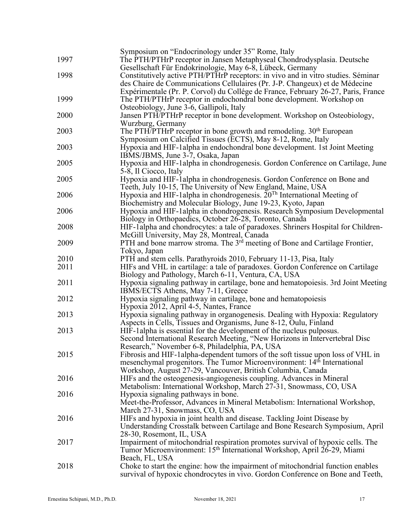| 1997 | Symposium on "Endocrinology under 35" Rome, Italy<br>The PTH/PTHrP receptor in Jansen Metaphyseal Chondrodysplasia. Deutsche |
|------|------------------------------------------------------------------------------------------------------------------------------|
|      | Gesellschaft Für Endokrinologie, May 6-8, Lübeck, Germany                                                                    |
| 1998 | Constitutively active PTH/PTHrP receptors: in vivo and in vitro studies. Séminar                                             |
|      | des Chaire de Communications Cellulaires (Pr. J-P. Changeux) et de Médecine                                                  |
|      | Expérimentale (Pr. P. Corvol) du Collége de France, February 26-27, Paris, France                                            |
| 1999 | The PTH/PTHrP receptor in endochondral bone development. Workshop on                                                         |
|      | Osteobiology, June 3-6, Gallipoli, Italy                                                                                     |
| 2000 | Jansen PTH/PTHrP receptor in bone development. Workshop on Osteobiology,                                                     |
|      | Wurzburg, Germany                                                                                                            |
| 2003 | The PTH/PTHrP receptor in bone growth and remodeling. 30 <sup>th</sup> European                                              |
|      | Symposium on Calcified Tissues (ECTS), May 8-12, Rome, Italy                                                                 |
| 2003 | Hypoxia and HIF-1 alpha in endochondral bone development. 1st Joint Meeting                                                  |
|      | IBMS/JBMS, June 3-7, Osaka, Japan                                                                                            |
| 2005 | Hypoxia and HIF-1alpha in chondrogenesis. Gordon Conference on Cartilage, June                                               |
|      | 5-8, Il Ciocco, Italy                                                                                                        |
| 2005 | Hypoxia and HIF-1alpha in chondrogenesis. Gordon Conference on Bone and                                                      |
|      | Teeth, July 10-15, The University of New England, Maine, USA                                                                 |
| 2006 | Hypoxia and HIF-1alpha in chondrogenesis. $20Th$ International Meeting of                                                    |
|      | Biochemistry and Molecular Biology, June 19-23, Kyoto, Japan                                                                 |
| 2006 | Hypoxia and HIF-1 alpha in chondrogenesis. Research Symposium Developmental                                                  |
|      | Biology in Orthopaedics, October 26-28, Toronto, Canada                                                                      |
| 2008 | HIF-1alpha and chondrocytes: a tale of paradoxes. Shriners Hospital for Children-                                            |
|      | McGill University, May 28, Montreal, Canada                                                                                  |
| 2009 | PTH and bone marrow stroma. The 3 <sup>rd</sup> meeting of Bone and Cartilage Frontier,                                      |
|      | Tokyo, Japan                                                                                                                 |
| 2010 | PTH and stem cells. Parathyroids 2010, February 11-13, Pisa, Italy                                                           |
| 2011 | HIFs and VHL in cartilage: a tale of paradoxes. Gordon Conference on Cartilage                                               |
|      | Biology and Pathology, March 6-11, Ventura, CA, USA                                                                          |
| 2011 | Hypoxia signaling pathway in cartilage, bone and hematopoiesis. 3rd Joint Meeting                                            |
|      | IBMS/ECTS Athens, May 7-11, Greece                                                                                           |
| 2012 | Hypoxia signaling pathway in cartilage, bone and hematopoiesis                                                               |
|      | Hypoxia 2012, April 4-5, Nantes, France                                                                                      |
| 2013 | Hypoxia signaling pathway in organogenesis. Dealing with Hypoxia: Regulatory                                                 |
|      | Aspects in Cells, Tissues and Organisms, June 8-12, Oulu, Finland                                                            |
| 2013 | HIF-lalpha is essential for the development of the nucleus pulposus.                                                         |
|      | Second International Research Meeting, "New Horizons in Intervertebral Disc                                                  |
|      | Research," November 6-8, Philadelphia, PA, USA                                                                               |
| 2015 | Fibrosis and HIF-1 alpha-dependent tumors of the soft tissue upon loss of VHL in                                             |
|      | mesenchymal progenitors. The Tumor Microenvironment: 14 <sup>th</sup> International                                          |
|      | Workshop, August 27-29, Vancouver, British Columbia, Canada                                                                  |
| 2016 | HIFs and the osteogenesis-angiogenesis coupling. Advances in Mineral                                                         |
|      | Metabolism: International Workshop, March 27-31, Snowmass, CO, USA                                                           |
| 2016 | Hypoxia signaling pathways in bone.                                                                                          |
|      | Meet-the-Professor, Advances in Mineral Metabolism: International Workshop,                                                  |
|      | March 27-31, Snowmass, CO, USA                                                                                               |
| 2016 | HIFs and hypoxia in joint health and disease. Tackling Joint Disease by                                                      |
|      | Understanding Crosstalk between Cartilage and Bone Research Symposium, April                                                 |
|      | 28-30, Rosemont, IL, USA                                                                                                     |
| 2017 | Impairment of mitochondrial respiration promotes survival of hypoxic cells. The                                              |
|      | Tumor Microenvironment: 15 <sup>th</sup> International Workshop, April 26-29, Miami                                          |
|      | Beach, FL, USA                                                                                                               |
| 2018 | Choke to start the engine: how the impairment of mitochondrial function enables                                              |
|      | survival of hypoxic chondrocytes in vivo. Gordon Conference on Bone and Teeth,                                               |
|      |                                                                                                                              |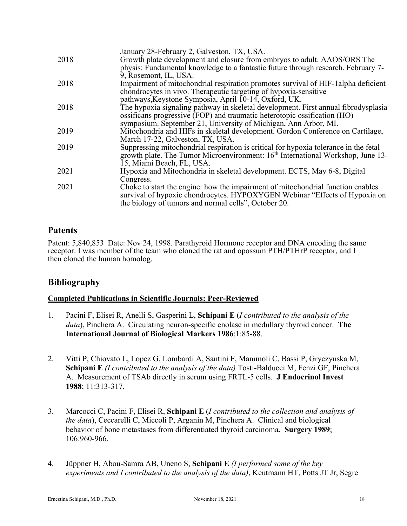|      | January 28-February 2, Galveston, TX, USA.                                                                                                                                                                            |
|------|-----------------------------------------------------------------------------------------------------------------------------------------------------------------------------------------------------------------------|
| 2018 | Growth plate development and closure from embryos to adult. AAOS/ORS The                                                                                                                                              |
|      | physis: Fundamental knowledge to a fantastic future through research. February 7-                                                                                                                                     |
|      | 9, Rosemont, IL, USA.                                                                                                                                                                                                 |
| 2018 | Impairment of mitochondrial respiration promotes survival of HIF-1 alpha deficient                                                                                                                                    |
|      | chondrocytes in vivo. Therapeutic targeting of hypoxia-sensitive                                                                                                                                                      |
|      | pathways, Keystone Symposia, April 10-14, Oxford, UK.                                                                                                                                                                 |
| 2018 | The hypoxia signaling pathway in skeletal development. First annual fibrodysplasia                                                                                                                                    |
|      | ossificans progressive (FOP) and traumatic heterotopic ossification (HO)                                                                                                                                              |
|      | symposium. September 21, University of Michigan, Ann Arbor, MI.                                                                                                                                                       |
| 2019 | Mitochondria and HIFs in skeletal development. Gordon Conference on Cartilage,                                                                                                                                        |
|      | March 17-22, Galveston, TX, USA.                                                                                                                                                                                      |
| 2019 | Suppressing mitochondrial respiration is critical for hypoxia tolerance in the fetal                                                                                                                                  |
|      | growth plate. The Tumor Microenvironment: 16 <sup>th</sup> International Workshop, June 13-                                                                                                                           |
|      |                                                                                                                                                                                                                       |
|      | 15, Miami Beach, FL, USA.                                                                                                                                                                                             |
| 2021 | Hypoxia and Mitochondria in skeletal development. ECTS, May 6-8, Digital                                                                                                                                              |
|      | Congress.                                                                                                                                                                                                             |
| 2021 | Choke to start the engine: how the impairment of mitochondrial function enables<br>survival of hypoxic chondrocytes. HYPOXYGEN Webinar "Effects of Hypoxia on<br>the biology of tumors and normal cells", October 20. |
|      |                                                                                                                                                                                                                       |

# **Patents**

Patent: 5,840,853 Date: Nov 24, 1998. Parathyroid Hormone receptor and DNA encoding the same receptor. I was member of the team who cloned the rat and opossum PTH/PTHrP receptor, and I then cloned the human homolog.

# **Bibliography**

### **Completed Publications in Scientific Journals: Peer-Reviewed**

- 1. Pacini F, Elisei R, Anelli S, Gasperini L, **Schipani E** (*I contributed to the analysis of the data*), Pinchera A. Circulating neuron-specific enolase in medullary thyroid cancer. **The International Journal of Biological Markers 1986**;1:85-88.
- 2. Vitti P, Chiovato L, Lopez G, Lombardi A, Santini F, Mammoli C, Bassi P, Gryczynska M, **Schipani E** *(I contributed to the analysis of the data)* Tosti-Balducci M, Fenzi GF, Pinchera A. Measurement of TSAb directly in serum using FRTL-5 cells. **J Endocrinol Invest 1988**; 11:313-317.
- 3. Marcocci C, Pacini F, Elisei R, **Schipani E** (*I contributed to the collection and analysis of the data*), Ceccarelli C, Miccoli P, Arganin M, Pinchera A. Clinical and biological behavior of bone metastases from differentiated thyroid carcinoma. **Surgery 1989**; 106:960-966.
- 4. Jüppner H, Abou-Samra AB, Uneno S, **Schipani E** *(I performed some of the key experiments and I contributed to the analysis of the data)*, Keutmann HT, Potts JT Jr, Segre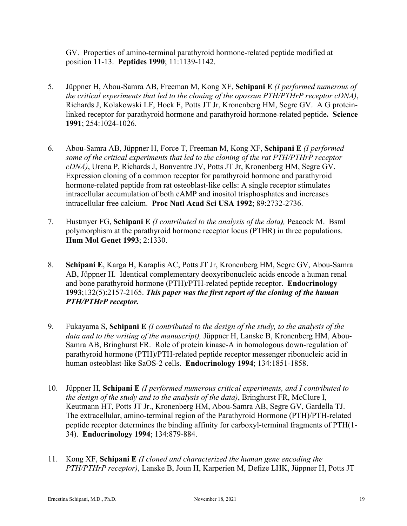GV. Properties of amino-terminal parathyroid hormone-related peptide modified at position 11-13. **Peptides 1990**; 11:1139-1142.

- 5. Jüppner H, Abou-Samra AB, Freeman M, Kong XF, **Schipani E** *(I performed numerous of the critical experiments that led to the cloning of the opossun PTH/PTHrP receptor cDNA)*, Richards J, Kolakowski LF, Hock F, Potts JT Jr, Kronenberg HM, Segre GV. A G proteinlinked receptor for parathyroid hormone and parathyroid hormone-related peptide**. Science 1991**; 254:1024-1026.
- 6. Abou-Samra AB, Jüppner H, Force T, Freeman M, Kong XF, **Schipani E** *(I performed some of the critical experiments that led to the cloning of the rat PTH/PTHrP receptor cDNA)*, Urena P, Richards J, Bonventre JV, Potts JT Jr, Kronenberg HM, Segre GV. Expression cloning of a common receptor for parathyroid hormone and parathyroid hormone-related peptide from rat osteoblast-like cells: A single receptor stimulates intracellular accumulation of both cAMP and inositol trisphosphates and increases intracellular free calcium. **Proc Natl Acad Sci USA 1992**; 89:2732-2736.
- 7. Hustmyer FG, **Schipani E** *(I contributed to the analysis of the data),* Peacock M. Bsml polymorphism at the parathyroid hormone receptor locus (PTHR) in three populations. **Hum Mol Genet 1993**; 2:1330.
- 8. **Schipani E**, Karga H, Karaplis AC, Potts JT Jr, Kronenberg HM, Segre GV, Abou-Samra AB, Jüppner H. Identical complementary deoxyribonucleic acids encode a human renal and bone parathyroid hormone (PTH)/PTH-related peptide receptor. **Endocrinology 1993**;132(5):2157-2165. *This paper was the first report of the cloning of the human PTH/PTHrP receptor.*
- 9. Fukayama S, **Schipani E** *(I contributed to the design of the study, to the analysis of the data and to the writing of the manuscript),* Jüppner H, Lanske B, Kronenberg HM, Abou-Samra AB, Bringhurst FR. Role of protein kinase-A in homologous down-regulation of parathyroid hormone (PTH)/PTH-related peptide receptor messenger ribonucleic acid in human osteoblast-like SaOS-2 cells. **Endocrinology 1994**; 134:1851-1858.
- 10. Jüppner H, **Schipani E** *(I performed numerous critical experiments, and I contributed to the design of the study and to the analysis of the data)*, Bringhurst FR, McClure I, Keutmann HT, Potts JT Jr., Kronenberg HM, Abou-Samra AB, Segre GV, Gardella TJ. The extracellular, amino-terminal region of the Parathyroid Hormone (PTH)/PTH-related peptide receptor determines the binding affinity for carboxyl-terminal fragments of PTH(1- 34). **Endocrinology 1994**; 134:879-884.
- 11. Kong XF, **Schipani E** *(I cloned and characterized the human gene encoding the PTH/PTHrP receptor)*, Lanske B, Joun H, Karperien M, Defize LHK, Jüppner H, Potts JT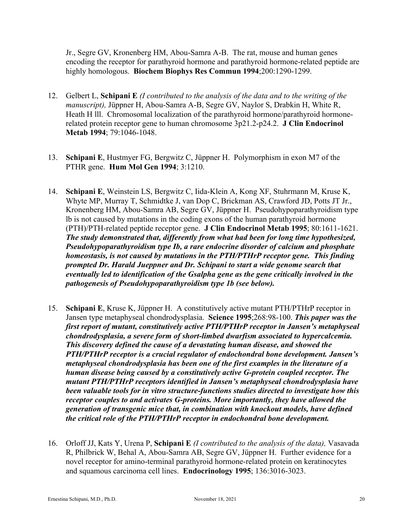Jr., Segre GV, Kronenberg HM, Abou-Samra A-B. The rat, mouse and human genes encoding the receptor for parathyroid hormone and parathyroid hormone-related peptide are highly homologous. **Biochem Biophys Res Commun 1994**;200:1290-1299.

- 12. Gelbert L, **Schipani E** *(I contributed to the analysis of the data and to the writing of the manuscript),* Jüppner H, Abou-Samra A-B, Segre GV, Naylor S, Drabkin H, White R, Heath H III. Chromosomal localization of the parathyroid hormone/parathyroid hormonerelated protein receptor gene to human chromosome 3p21.2-p24.2. **J Clin Endocrinol Metab 1994**; 79:1046-1048.
- 13. **Schipani E**, Hustmyer FG, Bergwitz C, Jüppner H. Polymorphism in exon M7 of the PTHR gene. **Hum Mol Gen 1994**; 3:1210.
- 14. **Schipani E**, Weinstein LS, Bergwitz C, Iida-Klein A, Kong XF, Stuhrmann M, Kruse K, Whyte MP, Murray T, Schmidtke J, van Dop C, Brickman AS, Crawford JD, Potts JT Jr., Kronenberg HM, Abou-Samra AB, Segre GV, Jüppner H. Pseudohypoparathyroidism type lb is not caused by mutations in the coding exons of the human parathyroid hormone (PTH)/PTH-related peptide receptor gene. **J Clin Endocrinol Metab 1995**; 80:1611-1621. *The study demonstrated that, differently from what had been for long time hypothesized, Pseudohypoparathyroidism type Ib, a rare endocrine disorder of calcium and phosphate homeostasis, is not caused by mutations in the PTH/PTHrP receptor gene. This finding prompted Dr. Harald Jueppner and Dr. Schipani to start a wide genome search that eventually led to identification of the Gsalpha gene as the gene critically involved in the pathogenesis of Pseudohypoparathyroidism type 1b (see below).*
- 15. **Schipani E**, Kruse K, Jüppner H. A constitutively active mutant PTH/PTHrP receptor in Jansen type metaphyseal chondrodysplasia. **Science 1995**;268:98-100. *This paper was the first report of mutant, constitutively active PTH/PTHrP receptor in Jansen's metaphyseal chondrodysplasia, a severe form of short-limbed dwarfism associated to hypercalcemia. This discovery defined the cause of a devastating human disease, and showed the PTH/PTHrP receptor is a crucial regulator of endochondral bone development. Jansen's metaphyseal chondrodysplasia has been one of the first examples in the literature of a human disease being caused by a constitutively active G-protein coupled receptor. The mutant PTH/PTHrP receptors identified in Jansen's metaphyseal chondrodysplasia have been valuable tools for in vitro structure-functions studies directed to investigate how this receptor couples to and activates G-proteins. More importantly, they have allowed the generation of transgenic mice that, in combination with knockout models, have defined the critical role of the PTH/PTHrP receptor in endochondral bone development.*
- 16. Orloff JJ, Kats Y, Urena P, **Schipani E** *(I contributed to the analysis of the data),* Vasavada R, Philbrick W, Behal A, Abou-Samra AB, Segre GV, Jüppner H. Further evidence for a novel receptor for amino-terminal parathyroid hormone-related protein on keratinocytes and squamous carcinoma cell lines. **Endocrinology 1995**; 136:3016-3023.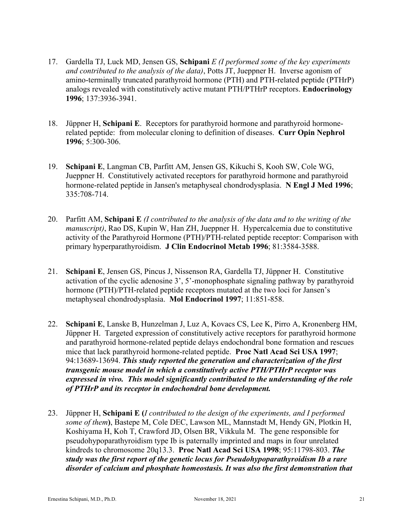- 17. Gardella TJ, Luck MD, Jensen GS, **Schipani** *E (I performed some of the key experiments and contributed to the analysis of the data)*, Potts JT, Jueppner H. Inverse agonism of amino-terminally truncated parathyroid hormone (PTH) and PTH-related peptide (PTHrP) analogs revealed with constitutively active mutant PTH/PTHrP receptors. **Endocrinology 1996**; 137:3936-3941.
- 18. Jüppner H, **Schipani E**. Receptors for parathyroid hormone and parathyroid hormonerelated peptide: from molecular cloning to definition of diseases. **Curr Opin Nephrol 1996**; 5:300-306.
- 19. **Schipani E**, Langman CB, Parfitt AM, Jensen GS, Kikuchi S, Kooh SW, Cole WG, Jueppner H. Constitutively activated receptors for parathyroid hormone and parathyroid hormone-related peptide in Jansen's metaphyseal chondrodysplasia. **N Engl J Med 1996**; 335:708-714.
- 20. Parfitt AM, **Schipani E** *(I contributed to the analysis of the data and to the writing of the manuscript)*, Rao DS, Kupin W, Han ZH, Jueppner H. Hypercalcemia due to constitutive activity of the Parathyroid Hormone (PTH)/PTH-related peptide receptor: Comparison with primary hyperparathyroidism. **J Clin Endocrinol Metab 1996**; 81:3584-3588.
- 21. **Schipani E**, Jensen GS, Pincus J, Nissenson RA, Gardella TJ, Jüppner H. Constitutive activation of the cyclic adenosine 3', 5'-monophosphate signaling pathway by parathyroid hormone (PTH)/PTH-related peptide receptors mutated at the two loci for Jansen's metaphyseal chondrodysplasia. **Mol Endocrinol 1997**; 11:851-858.
- 22. **Schipani E**, Lanske B, Hunzelman J, Luz A, Kovacs CS, Lee K, Pirro A, Kronenberg HM, Jüppner H. Targeted expression of constitutively active receptors for parathyroid hormone and parathyroid hormone-related peptide delays endochondral bone formation and rescues mice that lack parathyroid hormone-related peptide. **Proc Natl Acad Sci USA 1997**; 94:13689-13694. *This study reported the generation and characterization of the first transgenic mouse model in which a constitutively active PTH/PTHrP receptor was expressed in vivo. This model significantly contributed to the understanding of the role of PTHrP and its receptor in endochondral bone development.*
- 23. Jüppner H, **Schipani E (***I contributed to the design of the experiments, and I performed some of them***)**, Bastepe M, Cole DEC, Lawson ML, Mannstadt M, Hendy GN, Plotkin H, Koshiyama H, Koh T, Crawford JD, Olsen BR, Vikkula M. The gene responsible for pseudohypoparathyroidism type Ib is paternally imprinted and maps in four unrelated kindreds to chromosome 20q13.3. **Proc Natl Acad Sci USA 1998**; 95:11798-803. *The study was the first report of the genetic locus for Pseudohypoparathyroidism Ib a rare disorder of calcium and phosphate homeostasis. It was also the first demonstration that*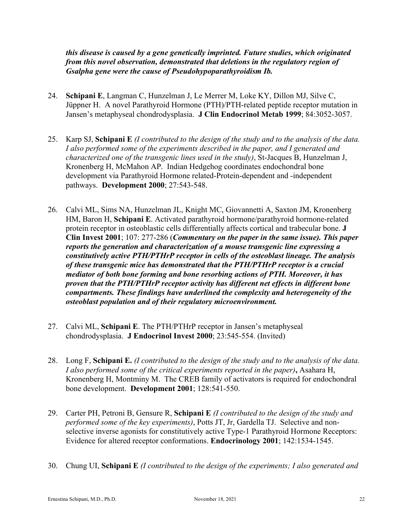*this disease is caused by a gene genetically imprinted. Future studies, which originated from this novel observation, demonstrated that deletions in the regulatory region of Gsalpha gene were the cause of Pseudohypoparathyroidism Ib.*

- 24. **Schipani E**, Langman C, Hunzelman J, Le Merrer M, Loke KY, Dillon MJ, Silve C, Jüppner H. A novel Parathyroid Hormone (PTH)/PTH-related peptide receptor mutation in Jansen's metaphyseal chondrodysplasia. **J Clin Endocrinol Metab 1999**; 84:3052-3057.
- 25. Karp SJ, **Schipani E** *(I contributed to the design of the study and to the analysis of the data. I also performed some of the experiments described in the paper, and I generated and characterized one of the transgenic lines used in the study)*, St-Jacques B, Hunzelman J, Kronenberg H, McMahon AP. Indian Hedgehog coordinates endochondral bone development via Parathyroid Hormone related-Protein-dependent and -independent pathways. **Development 2000**; 27:543-548.
- 26. Calvi ML, Sims NA, Hunzelman JL, Knight MC, Giovannetti A, Saxton JM, Kronenberg HM, Baron H, **Schipani E**. Activated parathyroid hormone/parathyroid hormone-related protein receptor in osteoblastic cells differentially affects cortical and trabecular bone. **J Clin Invest 2001**; 107: 277-286 (*Commentary on the paper in the same issue). This paper reports the generation and characterization of a mouse transgenic line expressing a constitutively active PTH/PTHrP receptor in cells of the osteoblast lineage. The analysis of these transgenic mice has demonstrated that the PTH/PTHrP receptor is a crucial mediator of both bone forming and bone resorbing actions of PTH. Moreover, it has proven that the PTH/PTHrP receptor activity has different net effects in different bone compartments. These findings have underlined the complexity and heterogeneity of the osteoblast population and of their regulatory microenvironment.*
- 27. Calvi ML, **Schipani E**. The PTH/PTHrP receptor in Jansen's metaphyseal chondrodysplasia. **J Endocrinol Invest 2000**; 23:545-554. (Invited)
- 28. Long F, **Schipani E.** *(I contributed to the design of the study and to the analysis of the data. I also performed some of the critical experiments reported in the paper)***,** Asahara H, Kronenberg H, Montminy M. The CREB family of activators is required for endochondral bone development. **Development 2001**; 128:541-550.
- 29. Carter PH, Petroni B, Gensure R, **Schipani E** *(I contributed to the design of the study and performed some of the key experiments)*, Potts JT, Jr, Gardella TJ. Selective and nonselective inverse agonists for constitutively active Type-1 Parathyroid Hormone Receptors: Evidence for altered receptor conformations. **Endocrinology 2001**; 142:1534-1545.
- 30. Chung UI, **Schipani E** *(I contributed to the design of the experiments; I also generated and*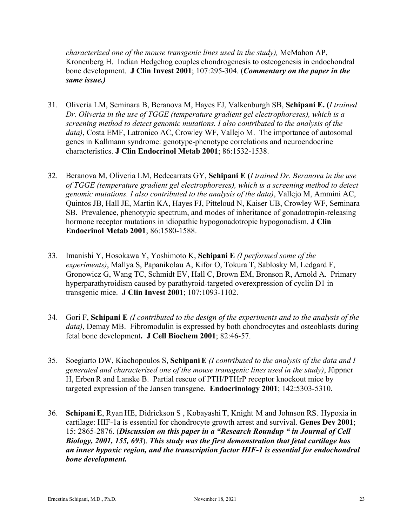*characterized one of the mouse transgenic lines used in the study),* McMahon AP, Kronenberg H. Indian Hedgehog couples chondrogenesis to osteogenesis in endochondral bone development. **J Clin Invest 2001**; 107:295-304. (*Commentary on the paper in the same issue.)*

- 31. Oliveria LM, Seminara B, Beranova M, Hayes FJ, Valkenburgh SB, **Schipani E. (***I trained Dr. Oliveria in the use of TGGE (temperature gradient gel electrophoreses), which is a screening method to detect genomic mutations. I also contributed to the analysis of the data)*, Costa EMF, Latronico AC, Crowley WF, Vallejo M. The importance of autosomal genes in Kallmann syndrome: genotype-phenotype correlations and neuroendocrine characteristics. **J Clin Endocrinol Metab 2001**; 86:1532-1538.
- 32. Beranova M, Oliveria LM, Bedecarrats GY, **Schipani E (***I trained Dr. Beranova in the use of TGGE (temperature gradient gel electrophoreses), which is a screening method to detect genomic mutations. I also contributed to the analysis of the data)*, Vallejo M, Ammini AC, Quintos JB, Hall JE, Martin KA, Hayes FJ, Pitteloud N, Kaiser UB, Crowley WF, Seminara SB. Prevalence, phenotypic spectrum, and modes of inheritance of gonadotropin-releasing hormone receptor mutations in idiopathic hypogonadotropic hypogonadism. **J Clin Endocrinol Metab 2001**; 86:1580-1588.
- 33. Imanishi Y, Hosokawa Y, Yoshimoto K, **Schipani E** *(I performed some of the experiments)*, Mallya S, Papanikolau A, Kifor O, Tokura T, Sablosky M, Ledgard F, Gronowicz G, Wang TC, Schmidt EV, Hall C, Brown EM, Bronson R, Arnold A. Primary hyperparathyroidism caused by parathyroid-targeted overexpression of cyclin D1 in transgenic mice. **J Clin Invest 2001**; 107:1093-1102.
- 34. Gori F, **Schipani E** *(I contributed to the design of the experiments and to the analysis of the data)*, Demay MB. Fibromodulin is expressed by both chondrocytes and osteoblasts during fetal bone development**. J Cell Biochem 2001**; 82:46-57.
- 35. Soegiarto DW, Kiachopoulos S, **SchipaniE** *(I contributed to the analysis of the data and I generated and characterized one of the mouse transgenic lines used in the study)*, Jüppner H, Erben R and Lanske B. Partial rescue of PTH/PTHrP receptor knockout mice by targeted expression of the Jansen transgene. **Endocrinology 2001**; 142:5303-5310.
- 36. **SchipaniE**, Ryan HE, Didrickson S , Kobayashi T, Knight M and Johnson RS.. Hypoxia in cartilage: HIF-1a is essential for chondrocyte growth arrest and survival. **Genes Dev 2001**; 15: 2865-2876. (*Discussion on this paper in a "Research Roundup " in Journal of Cell Biology, 2001, 155, 693*). *This study was the first demonstration that fetal cartilage has an inner hypoxic region, and the transcription factor HIF-1 is essential for endochondral bone development.*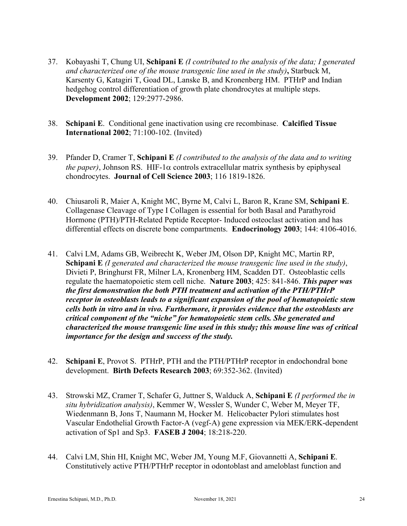- 37. Kobayashi T, Chung UI, **Schipani E** *(I contributed to the analysis of the data; I generated and characterized one of the mouse transgenic line used in the study)***,** Starbuck M, Karsenty G, Katagiri T, Goad DL, Lanske B, and Kronenberg HM. PTHrP and Indian hedgehog control differentiation of growth plate chondrocytes at multiple steps. **Development 2002**; 129:2977-2986.
- 38. **Schipani E**. Conditional gene inactivation using cre recombinase. **Calcified Tissue International 2002**; 71:100-102. (Invited)
- 39. Pfander D, Cramer T, **Schipani E** *(I contributed to the analysis of the data and to writing the paper*), Johnson RS. HIF-1 $\alpha$  controls extracellular matrix synthesis by epiphyseal chondrocytes. **Journal of Cell Science 2003**; 116 1819-1826.
- 40. Chiusaroli R, Maier A, Knight MC, Byrne M, Calvi L, Baron R, Krane SM, **Schipani E**. Collagenase Cleavage of Type I Collagen is essential for both Basal and Parathyroid Hormone (PTH)/PTH-Related Peptide Receptor- Induced osteoclast activation and has differential effects on discrete bone compartments. **Endocrinology 2003**; 144: 4106-4016.
- 41. Calvi LM, Adams GB, Weibrecht K, Weber JM, Olson DP, Knight MC, Martin RP, **Schipani E** *(I generated and characterized the mouse transgenic line used in the study)*, Divieti P, Bringhurst FR, Milner LA, Kronenberg HM, Scadden DT. Osteoblastic cells regulate the haematopoietic stem cell niche. **Nature 2003**; 425: 841-846. *This paper was the first demonstration the both PTH treatment and activation of the PTH/PTHrP receptor in osteoblasts leads to a significant expansion of the pool of hematopoietic stem cells both in vitro and in vivo. Furthermore, it provides evidence that the osteoblasts are critical component of the "niche" for hematopoietic stem cells. She generated and characterized the mouse transgenic line used in this study; this mouse line was of critical importance for the design and success of the study.*
- 42. **Schipani E**, Provot S. PTHrP, PTH and the PTH/PTHrP receptor in endochondral bone development. **Birth Defects Research 2003**; 69:352-362. (Invited)
- 43. Strowski MZ, Cramer T, Schafer G, Juttner S, Walduck A, **Schipani E** *(I performed the in situ hybridization analysis)*, Kemmer W, Wessler S, Wunder C, Weber M, Meyer TF, Wiedenmann B, Jons T, Naumann M, Hocker M. Helicobacter Pylori stimulates host Vascular Endothelial Growth Factor-A (vegf-A) gene expression via MEK/ERK-dependent activation of Sp1 and Sp3. **FASEB J 2004**; 18:218-220.
- 44. Calvi LM, Shin HI, Knight MC, Weber JM, Young M.F, Giovannetti A, **Schipani E**. Constitutively active PTH/PTHrP receptor in odontoblast and ameloblast function and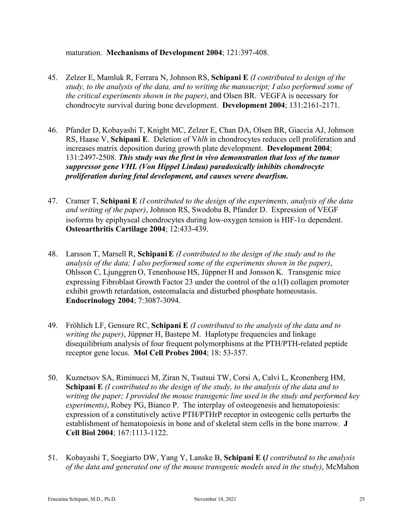#### maturation. **Mechanisms of Development 2004**; 121:397-408.

- 45. Zelzer E, Mamluk R, Ferrara N, JohnsonRS, **Schipani E** *(I contributed to design of the study, to the analysis of the data, and to writing the mansucript; I also performed some of the critical experiments shown in the paper)*, and Olsen BR.. VEGFA is necessary for chondrocyte survival during bone development. **Development 2004**; 131:2161-2171.
- 46. Pfander D, Kobayashi T, Knight MC, Zelzer E, Chan DA, Olsen BR, Giaccia AJ, Johnson RS, Haase V, **Schipani E**. Deletion of V*hlh* in chondrocytes reduces cell proliferation and increases matrix deposition during growth plate development. **Development 2004**; 131:2497-2508. *This study was the first in vivo demonstration that loss of the tumor suppressor gene VHL (Von Hippel Lindau) paradoxically inhibits chondrocyte proliferation during fetal development, and causes severe dwarfism.*
- 47. Cramer T, **Schipani E** *(I contributed to the design of the experiments, analysis of the data and writing of the paper)*, Johnson RS, Swodoba B, Pfander D. Expression of VEGF isoforms by epiphyseal chondrocytes during low-oxygen tension is HIF-1 $\alpha$  dependent. **Osteoarthritis Cartilage 2004**; 12:433-439.
- 48. Larsson T, Marsell R, **SchipaniE** *(I contributed to the design of the study and to the analysis of the data; I also performed some of the experiments shown in the paper)*, Ohlsson C, Ljunggren O, Tenenhouse HS, Jüppner H and Jonsson K. Transgenic mice expressing Fibroblast Growth Factor 23 under the control of the  $\alpha$ 1(I) collagen promoter exhibit growth retardation, osteomalacia and disturbed phosphate homeostasis. **Endocrinology 2004**; 7:3087-3094.
- 49. Fröhlich LF, Gensure RC, **Schipani E** *(I contributed to the analysis of the data and to writing the paper)*, Jüppner H, Bastepe M. Haplotype frequencies and linkage disequilibrium analysis of four frequent polymorphisms at the PTH/PTH-related peptide receptor gene locus. **Mol Cell Probes 2004**; 18: 53-357.
- 50. Kuznetsov SA, Riminucci M, Ziran N, Tsutsui TW, Corsi A, Calvi L, Kronenberg HM, **Schipani E** *(I contributed to the design of the study, to the analysis of the data and to writing the paper; I provided the mouse transgenic line used in the study and performed key experiments)*, Robey PG, Bianco P. The interplay of osteogenesis and hematopoiesis: expression of a constitutively active PTH/PTHrP receptor in osteogenic cells perturbs the establishment of hematopoiesis in bone and of skeletal stem cells in the bone marrow. **J Cell Biol 2004**; 167:1113-1122.
- 51. Kobayashi T, Soegiarto DW, Yang Y, Lanske B, **Schipani E (***I contributed to the analysis of the data and generated one of the mouse transgenic models used in the study)*, McMahon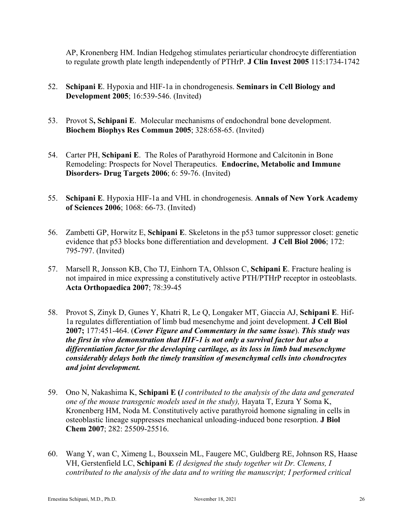AP, Kronenberg HM. Indian Hedgehog stimulates periarticular chondrocyte differentiation to regulate growth plate length independently of PTHrP. **J Clin Invest 2005** 115:1734-1742

- 52. **Schipani E**. Hypoxia and HIF-1a in chondrogenesis. **Seminars in Cell Biology and Development 2005**; 16:539-546. (Invited)
- 53. Provot S**, Schipani E**. Molecular mechanisms of endochondral bone development. **Biochem Biophys Res Commun 2005**; 328:658-65. (Invited)
- 54. Carter PH, **Schipani E**. The Roles of Parathyroid Hormone and Calcitonin in Bone Remodeling: Prospects for Novel Therapeutics. **Endocrine, Metabolic and Immune Disorders- Drug Targets 2006**; 6: 59-76. (Invited)
- 55. **Schipani E**. Hypoxia HIF-1a and VHL in chondrogenesis. **Annals of New York Academy of Sciences 2006**; 1068: 66-73. (Invited)
- 56. Zambetti GP, Horwitz E, **Schipani E**. Skeletons in the p53 tumor suppressor closet: genetic evidence that p53 blocks bone differentiation and development. **J Cell Biol 2006**; 172: 795-797. (Invited)
- 57. Marsell R, Jonsson KB, Cho TJ, Einhorn TA, Ohlsson C, **Schipani E**. Fracture healing is not impaired in mice expressing a constitutively active PTH/PTHrP receptor in osteoblasts. **Acta Orthopaedica 2007**; 78:39-45
- 58. Provot S, Zinyk D, Gunes Y, Khatri R, Le Q, Longaker MT, Giaccia AJ, **Schipani E**. Hif-1a regulates differentiation of limb bud mesenchyme and joint development. **J Cell Biol 2007;** 177:451-464. (*Cover Figure and Commentary in the same issue*). *This study was the first in vivo demonstration that HIF-1 is not only a survival factor but also a differentiation factor for the developing cartilage, as its loss in limb bud mesenchyme considerably delays both the timely transition of mesenchymal cells into chondrocytes and joint development.*
- 59. Ono N, Nakashima K, **Schipani E (***I contributed to the analysis of the data and generated one of the mouse transgenic models used in the study),* Hayata T, Ezura Y Soma K, Kronenberg HM, Noda M. Constitutively active parathyroid homone signaling in cells in osteoblastic lineage suppresses mechanical unloading-induced bone resorption. **J Biol Chem 2007**; 282: 25509-25516.
- 60. Wang Y, wan C, Ximeng L, Bouxsein ML, Faugere MC, Guldberg RE, Johnson RS, Haase VH, Gerstenfield LC, **Schipani E** *(I designed the study together wit Dr. Clemens, I contributed to the analysis of the data and to writing the manuscript; I performed critical*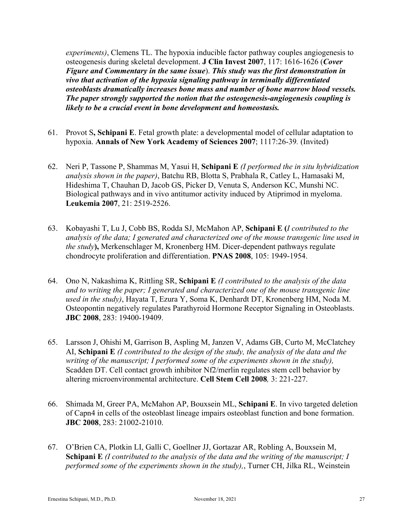*experiments)*, Clemens TL. The hypoxia inducible factor pathway couples angiogenesis to osteogenesis during skeletal development. **J Clin Invest 2007**, 117: 1616-1626 (*Cover Figure and Commentary in the same issue*). *This study was the first demonstration in vivo that activation of the hypoxia signaling pathway in terminally differentiated osteoblasts dramatically increases bone mass and number of bone marrow blood vessels. The paper strongly supported the notion that the osteogenesis-angiogenesis coupling is likely to be a crucial event in bone development and homeostasis.*

- 61. Provot S**, Schipani E**. Fetal growth plate: a developmental model of cellular adaptation to hypoxia. **Annals of New York Academy of Sciences 2007**; 1117:26-39*.* (Invited)
- 62. Neri P, Tassone P, Shammas M, Yasui H, **Schipani E** *(I performed the in situ hybridization analysis shown in the paper)*, Batchu RB, Blotta S, Prabhala R, Catley L, Hamasaki M, Hideshima T, Chauhan D, Jacob GS, Picker D, Venuta S, Anderson KC, Munshi NC. Biological pathways and in vivo antitumor activity induced by Atiprimod in myeloma. **Leukemia 2007**, 21: 2519-2526.
- 63. Kobayashi T, Lu J, Cobb BS, Rodda SJ, McMahon AP, **Schipani E (***I contributed to the analysis of the data; I generated and characterized one of the mouse transgenic line used in the study***),** Merkenschlager M, Kronenberg HM. Dicer-dependent pathways regulate chondrocyte proliferation and differentiation. **PNAS 2008**, 105: 1949-1954.
- 64. Ono N, Nakashima K, Rittling SR, **Schipani E** *(I contributed to the analysis of the data and to writing the paper; I generated and characterized one of the mouse transgenic line used in the study)*, Hayata T, Ezura Y, Soma K, Denhardt DT, Kronenberg HM, Noda M. Osteopontin negatively regulates Parathyroid Hormone Receptor Signaling in Osteoblasts. **JBC 2008**, 283: 19400-19409.
- 65. Larsson J, Ohishi M, Garrison B, Aspling M, Janzen V, Adams GB, Curto M, McClatchey AI, **Schipani E** *(I contributed to the design of the study, the analysis of the data and the writing of the manuscript; I performed some of the experiments shown in the study),*  Scadden DT. Cell contact growth inhibitor Nf2/merlin regulates stem cell behavior by altering microenvironmental architecture. **Cell Stem Cell 2008***,* 3: 221-227.
- 66. Shimada M, Greer PA, McMahon AP, Bouxsein ML, **Schipani E**. In vivo targeted deletion of Capn4 in cells of the osteoblast lineage impairs osteoblast function and bone formation. **JBC 2008**, 283: 21002-21010.
- 67. O'Brien CA, Plotkin LI, Galli C, Goellner JJ, Gortazar AR, Robling A, Bouxsein M, **Schipani E** *(I contributed to the analysis of the data and the writing of the manuscript; I performed some of the experiments shown in the study),*, Turner CH, Jilka RL, Weinstein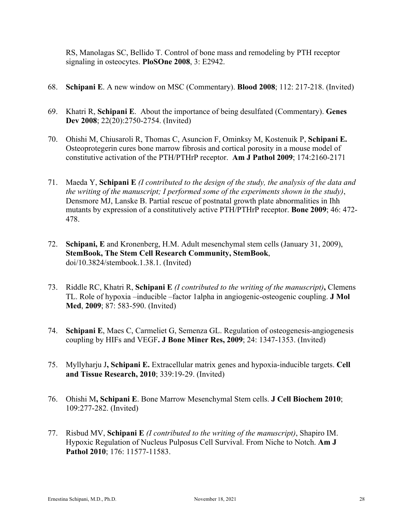RS, Manolagas SC, Bellido T. Control of bone mass and remodeling by PTH receptor signaling in osteocytes. **PloSOne 2008**, 3: E2942.

- 68. **Schipani E**. A new window on MSC (Commentary). **Blood 2008**; 112: 217-218. (Invited)
- 69. Khatri R, **Schipani E**. About the importance of being desulfated (Commentary). **Genes Dev 2008**; 22(20):2750-2754. (Invited)
- 70. Ohishi M, Chiusaroli R, Thomas C, Asuncion F, Ominksy M, Kostenuik P, **Schipani E.** Osteoprotegerin cures bone marrow fibrosis and cortical porosity in a mouse model of constitutive activation of the PTH/PTHrP receptor. **Am J Pathol 2009**; 174:2160-2171
- 71. Maeda Y, **Schipani E** *(I contributed to the design of the study, the analysis of the data and the writing of the manuscript; I performed some of the experiments shown in the study)*, Densmore MJ, Lanske B. Partial rescue of postnatal growth plate abnormalities in Ihh mutants by expression of a constitutively active PTH/PTHrP receptor. **Bone 2009**; 46: 472- 478.
- 72. **Schipani, E** and Kronenberg, H.M. Adult mesenchymal stem cells (January 31, 2009), **StemBook, The Stem Cell Research Community, StemBook**, doi/10.3824/stembook.1.38.1. (Invited)
- 73. Riddle RC, Khatri R, **Schipani E** *(I contributed to the writing of the manuscript)***,** Clemens TL. Role of hypoxia –inducible –factor 1alpha in angiogenic-osteogenic coupling. **J Mol Med**, **2009**; 87: 583-590. (Invited)
- 74. **Schipani E**, Maes C, Carmeliet G, Semenza GL. Regulation of osteogenesis-angiogenesis coupling by HIFs and VEGF**. J Bone Miner Res, 2009**; 24: 1347-1353. (Invited)
- 75. Myllyharju J**, Schipani E.** Extracellular matrix genes and hypoxia-inducible targets. **Cell and Tissue Research, 2010**; 339:19-29. (Invited)
- 76. Ohishi M**, Schipani E**. Bone Marrow Mesenchymal Stem cells. **J Cell Biochem 2010**; 109:277-282. (Invited)
- 77. Risbud MV, **Schipani E** *(I contributed to the writing of the manuscript)*, Shapiro IM. Hypoxic Regulation of Nucleus Pulposus Cell Survival. From Niche to Notch. **Am J Pathol 2010**; 176: 11577-11583.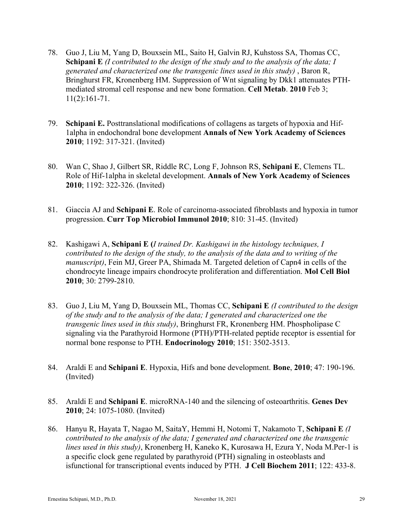- 78. Guo J, Liu M, Yang D, Bouxsein ML, Saito H, Galvin RJ, Kuhstoss SA, Thomas CC, **Schipani E** *(I contributed to the design of the study and to the analysis of the data; I generated and characterized one the transgenic lines used in this study)* , Baron R, Bringhurst FR, Kronenberg HM. Suppression of Wnt signaling by Dkk1 attenuates PTHmediated stromal cell response and new bone formation. **Cell Metab**. **2010** Feb 3; 11(2):161-71.
- 79. **Schipani E.** Posttranslational modifications of collagens as targets of hypoxia and Hif-1alpha in endochondral bone development **Annals of New York Academy of Sciences 2010**; 1192: 317-321. (Invited)
- 80. Wan C, Shao J, Gilbert SR, Riddle RC, Long F, Johnson RS, **Schipani E**, Clemens TL. Role of Hif-1alpha in skeletal development. **Annals of New York Academy of Sciences 2010**; 1192: 322-326. (Invited)
- 81. Giaccia AJ and **Schipani E**. Role of carcinoma-associated fibroblasts and hypoxia in tumor progression. **Curr Top Microbiol Immunol 2010**; 810: 31-45. (Invited)
- 82. Kashigawi A, **Schipani E (***I trained Dr. Kashigawi in the histology techniques, I contributed to the design of the study, to the analysis of the data and to writing of the manuscript)*, Fein MJ, Greer PA, Shimada M. Targeted deletion of Capn4 in cells of the chondrocyte lineage impairs chondrocyte proliferation and differentiation. **Mol Cell Biol 2010**; 30: 2799-2810.
- 83. Guo J, Liu M, Yang D, Bouxsein ML, Thomas CC, **Schipani E** *(I contributed to the design of the study and to the analysis of the data; I generated and characterized one the transgenic lines used in this study)*, Bringhurst FR, Kronenberg HM. Phospholipase C signaling via the Parathyroid Hormone (PTH)/PTH-related peptide receptor is essential for normal bone response to PTH. **Endocrinology 2010**; 151: 3502-3513.
- 84. Araldi E and **Schipani E**. Hypoxia, Hifs and bone development. **Bone**, **2010**; 47: 190-196. (Invited)
- 85. Araldi E and **Schipani E**. microRNA-140 and the silencing of osteoarthritis. **Genes Dev 2010**; 24: 1075-1080. (Invited)
- 86. Hanyu R, Hayata T, Nagao M, SaitaY, Hemmi H, Notomi T, Nakamoto T, **Schipani E** *(I contributed to the analysis of the data; I generated and characterized one the transgenic lines used in this study)*, Kronenberg H, Kaneko K, Kurosawa H, Ezura Y, Noda M.Per-1 is a specific clock gene regulated by parathyroid (PTH) signaling in osteoblasts and isfunctional for transcriptional events induced by PTH. **J Cell Biochem 2011**; 122: 433-8.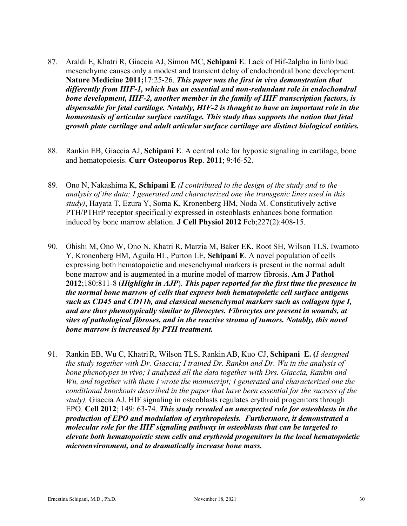- 87. Araldi E, Khatri R, Giaccia AJ, Simon MC, **Schipani E**. Lack of Hif-2alpha in limb bud mesenchyme causes only a modest and transient delay of endochondral bone development. **Nature Medicine 2011;**17:25-26. *This paper was the first in vivo demonstration that differently from HIF-1, which has an essential and non-redundant role in endochondral bone development, HIF-2, another member in the family of HIF transcription factors, is dispensable for fetal cartilage. Notably, HIF-2 is thought to have an important role in the homeostasis of articular surface cartilage. This study thus supports the notion that fetal growth plate cartilage and adult articular surface cartilage are distinct biological entities.*
- 88. Rankin EB, Giaccia AJ, **Schipani E**. A central role for hypoxic signaling in cartilage, bone and hematopoiesis. **Curr Osteoporos Rep**. **2011**; 9:46-52.
- 89. Ono N, Nakashima K, **Schipani E** *(I contributed to the design of the study and to the analysis of the data; I generated and characterized one the transgenic lines used in this study)*, Hayata T, Ezura Y, Soma K, Kronenberg HM, Noda M. Constitutively active PTH/PTHrP receptor specifically expressed in osteoblasts enhances bone formation induced by bone marrow ablation. **J Cell Physiol 2012** Feb;227(2):408-15.
- 90. Ohishi M, Ono W, Ono N, Khatri R, Marzia M, Baker EK, Root SH, Wilson TLS, Iwamoto Y, Kronenberg HM, Aguila HL, Purton LE, **Schipani E**. A novel population of cells expressing both hematopoietic and mesenchymal markers is present in the normal adult bone marrow and is augmented in a murine model of marrow fibrosis. **Am J Pathol 2012**;180:811-8 (*Highlight in AJP*). *This paper reported for the first time the presence in the normal bone marrow of cells that express both hematopoietic cell surface antigens such as CD45 and CD11b, and classical mesenchymal markers such as collagen type I, and are thus phenotypically similar to fibrocytes. Fibrocytes are present in wounds, at sites of pathological fibroses, and in the reactive stroma of tumors. Notably, this novel bone marrow is increased by PTH treatment.*
- 91. Rankin EB, Wu C, KhatriR, Wilson TLS, Rankin AB, Kuo CJ, **Schipani E. (***I designed the study together with Dr. Giaccia; I trained Dr. Rankin and Dr. Wu in the analysis of bone phenotypes in vivo; I analyzed all the data together with Drs. Giaccia, Rankin and Wu, and together with them I wrote the manuscript; I generated and characterized one the conditional knockouts described in the paper that have been essential for the success of the study),* Giaccia AJ. HIF signaling in osteoblasts regulates erythroid progenitors through EPO. **Cell 2012**; 149: 63-74. *This study revealed an unexpected role for osteoblasts in the production of EPO and modulation of erythropoiesis. Furthermore, it demonstrated a molecular role for the HIF signaling pathway in osteoblasts that can be targeted to elevate both hematopoietic stem cells and erythroid progenitors in the local hematopoietic microenvironment, and to dramatically increase bone mass.*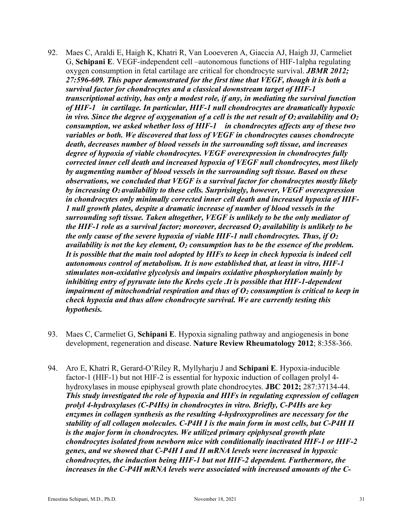- 92. Maes C, Araldi E, Haigh K, Khatri R, Van Looeveren A, Giaccia AJ, Haigh JJ, Carmeliet G, **Schipani E**. VEGF-independent cell –autonomous functions of HIF-1alpha regulating oxygen consumption in fetal cartilage are critical for chondrocyte survival. *JBMR 2012; 27:596-609. This paper demonstrated for the first time that VEGF, though it is both a survival factor for chondrocytes and a classical downstream target of HIF-1 transcriptional activity, has only a modest role, if any, in mediating the survival function of HIF-1in cartilage. In particular, HIF-1 null chondrocytes are dramatically hypoxic in vivo. Since the degree of oxygenation of a cell is the net result of*  $O_2$  *availability and*  $O_2$ *consumption, we asked whether loss of HIF-1 in chondrocytes affects any of these two variables or both. We discovered that loss of VEGF in chondrocytes causes chondrocyte death, decreases number of blood vessels in the surrounding soft tissue, and increases degree of hypoxia of viable chondrocytes. VEGF overexpression in chondrocytes fully corrected inner cell death and increased hypoxia of VEGF null chondrocytes, most likely by augmenting number of blood vessels in the surrounding soft tissue. Based on these observations, we concluded that VEGF is a survival factor for chondrocytes mostly likely by increasing O2 availability to these cells. Surprisingly, however, VEGF overexpression in chondrocytes only minimally corrected inner cell death and increased hypoxia of HIF-1 null growth plates, despite a dramatic increase of number of blood vessels in the surrounding soft tissue. Taken altogether, VEGF is unlikely to be the only mediator of the HIF-1 role as a survival factor; moreover, decreased*  $O_2$  *availability is unlikely to be the only cause of the severe hypoxia of viable HIF-1 null chondrocytes. Thus, if*  $O_2$ *availability is not the key element, O2 consumption has to be the essence of the problem. It is possible that the main tool adopted by HIFs to keep in check hypoxia is indeed cell autonomous control of metabolism. It is now established that, at least in vitro, HIF-1 stimulates non-oxidative glycolysis and impairs oxidative phosphorylation mainly by inhibiting entry of pyruvate into the Krebs cycle .It is possible that HIF-1-dependent impairment of mitochondrial respiration and thus of*  $O_2$  *consumption is critical to keep in check hypoxia and thus allow chondrocyte survival. We are currently testing this hypothesis.*
- 93. Maes C, Carmeliet G, **Schipani E**. Hypoxia signaling pathway and angiogenesis in bone development, regeneration and disease. **Nature Review Rheumatology 2012**; 8:358-366.
- 94. Aro E, Khatri R, Gerard-O'Riley R, Myllyharju J and **Schipani E**. Hypoxia-inducible factor-1 (HIF-1) but not HIF-2 is essential for hypoxic induction of collagen prolyl 4 hydroxylases in mouse epiphyseal growth plate chondrocytes. **JBC 2012;** 287:37134-44. *This study investigated the role of hypoxia and HIFs in regulating expression of collagen prolyl 4-hydroxylases (C-P4Hs) in chondrocytes in vitro. Briefly, C-P4Hs are key enzymes in collagen synthesis as the resulting 4-hydroxyprolines are necessary for the stability of all collagen molecules. C-P4H I is the main form in most cells, but C-P4H II is the major form in chondrocytes. We utilized primary epiphyseal growth plate chondrocytes isolated from newborn mice with conditionally inactivated HIF-1 or HIF-2 genes, and we showed that C-P4H I and II mRNA levels were increased in hypoxic chondrocytes, the induction being HIF-1 but not HIF-2 dependent. Furthermore, the increases in the C-P4H mRNA levels were associated with increased amounts of the C-*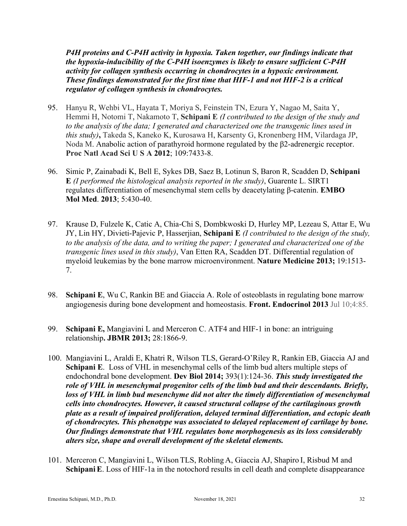*P4H proteins and C-P4H activity in hypoxia. Taken together, our findings indicate that the hypoxia-inducibility of the C-P4H isoenzymes is likely to ensure sufficient C-P4H activity for collagen synthesis occurring in chondrocytes in a hypoxic environment. These findings demonstrated for the first time that HIF-1 and not HIF-2 is a critical regulator of collagen synthesis in chondrocytes.* 

- 95. Hanyu R, Wehbi VL, Hayata T, Moriya S, Feinstein TN, Ezura Y, Nagao M, Saita Y, Hemmi H, Notomi T, Nakamoto T, **Schipani E** *(I contributed to the design of the study and to the analysis of the data; I generated and characterized one the transgenic lines used in this study)***,** Takeda S, Kaneko K, Kurosawa H, Karsenty G, Kronenberg HM, Vilardaga JP, Noda M. Anabolic action of parathyroid hormone regulated by the β2-adrenergic receptor. **Proc Natl Acad Sci U S A 2012**; 109:7433-8.
- 96. Simic P, Zainabadi K, Bell E, Sykes DB, Saez B, Lotinun S, Baron R, Scadden D, **Schipani E** *(I performed the histological analysis reported in the study)*, Guarente L. SIRT1 regulates differentiation of mesenchymal stem cells by deacetylating β-catenin. **EMBO Mol Med**. **2013**; 5:430-40.
- 97. Krause D, Fulzele K, Catic A, Chia-Chi S, Dombkwoski D, Hurley MP, Lezeau S, Attar E, Wu JY, Lin HY, Divieti-Pajevic P, Hasserjian, **Schipani E** *(I contributed to the design of the study, to the analysis of the data, and to writing the paper; I generated and characterized one of the transgenic lines used in this study)*, Van Etten RA, Scadden DT. Differential regulation of myeloid leukemias by the bone marrow microenvironment. **Nature Medicine 2013;** 19:1513- 7.
- 98. **Schipani E**, Wu C, Rankin BE and Giaccia A. Role of osteoblasts in regulating bone marrow angiogenesis during bone development and homeostasis. **Front. Endocrinol 2013** Jul 10;4:85.
- 99. **Schipani E,** Mangiavini L and Merceron C. ATF4 and HIF-1 in bone: an intriguing relationship**. JBMR 2013;** 28:1866-9.
- 100. Mangiavini L, Araldi E, Khatri R, Wilson TLS, Gerard-O'Riley R, Rankin EB, Giaccia AJ and **Schipani E**. Loss of VHL in mesenchymal cells of the limb bud alters multiple steps of endochondral bone development. **Dev Biol 2014;** 393(1):124-36. *This study investigated the role of VHL in mesenchymal progenitor cells of the limb bud and their descendants. Briefly, loss of VHL in limb bud mesenchyme did not alter the timely differentiation of mesenchymal cells into chondrocytes. However, it caused structural collapse of the cartilaginous growth plate as a result of impaired proliferation, delayed terminal differentiation, and ectopic death of chondrocytes. This phenotype was associated to delayed replacement of cartilage by bone. Our findings demonstrate that VHL regulates bone morphogenesis as its loss considerably alters size, shape and overall development of the skeletal elements.*
- 101. Merceron C, Mangiavini L, Wilson TLS, Robling A, Giaccia AJ, Shapiro I, Risbud M and **Schipani E.** Loss of HIF-1a in the notochord results in cell death and complete disappearance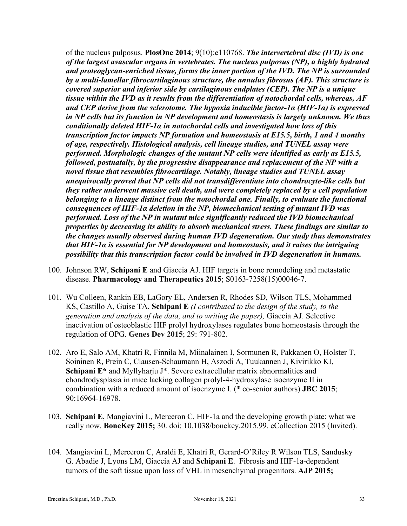of the nucleus pulposus. **PlosOne 2014**; 9(10):e110768. *The intervertebral disc (IVD) is one of the largest avascular organs in vertebrates. The nucleus pulposus (NP), a highly hydrated and proteoglycan-enriched tissue, forms the inner portion of the IVD. The NP is surrounded by a multi-lamellar fibrocartilaginous structure, the annulus fibrosus (AF). This structure is covered superior and inferior side by cartilaginous endplates (CEP). The NP is a unique tissue within the IVD as it results from the differentiation of notochordal cells, whereas, AF and CEP derive from the sclerotome. The hypoxia inducible factor-1α (HIF-1α) is expressed in NP cells but its function in NP development and homeostasis is largely unknown. We thus conditionally deleted HIF-1α in notochordal cells and investigated how loss of this transcription factor impacts NP formation and homeostasis at E15.5, birth, 1 and 4 months of age, respectively. Histological analysis, cell lineage studies, and TUNEL assay were performed. Morphologic changes of the mutant NP cells were identified as early as E15.5, followed, postnatally, by the progressive disappearance and replacement of the NP with a novel tissue that resembles fibrocartilage. Notably, lineage studies and TUNEL assay unequivocally proved that NP cells did not transdifferentiate into chondrocyte-like cells but they rather underwent massive cell death, and were completely replaced by a cell population belonging to a lineage distinct from the notochordal one. Finally, to evaluate the functional consequences of HIF-1α deletion in the NP, biomechanical testing of mutant IVD was performed. Loss of the NP in mutant mice significantly reduced the IVD biomechanical properties by decreasing its ability to absorb mechanical stress. These findings are similar to the changes usually observed during human IVD degeneration. Our study thus demonstrates that HIF-1α is essential for NP development and homeostasis, and it raises the intriguing possibility that this transcription factor could be involved in IVD degeneration in humans.*

- 100. Johnson RW, **Schipani E** and Giaccia AJ. HIF targets in bone remodeling and metastatic disease. **Pharmacology and Therapeutics 2015**; S0163-7258(15)00046-7.
- 101. Wu Colleen, Rankin EB, LaGory EL, Andersen R, Rhodes SD, Wilson TLS, Mohammed KS, Castillo A, Guise TA, **Schipani E** *(I contributed to the design of the study, to the generation and analysis of the data, and to writing the paper),* Giaccia AJ. Selective inactivation of osteoblastic HIF prolyl hydroxylases regulates bone homeostasis through the regulation of OPG. **Genes Dev 2015**; 29: 791-802.
- 102. Aro E, Salo AM, Khatri R, Finnila M, Miinalainen I, Sormunen R, Pakkanen O, Holster T, Soininen R, Prein C, Clausen-Schaumann H, Aszodi A, Tuukannen J, Kivirikko KI, **Schipani E\*** and Myllyharju J\*. Severe extracellular matrix abnormalities and chondrodysplasia in mice lacking collagen prolyl-4-hydroxylase isoenzyme II in combination with a reduced amount of isoenzyme I. (\* co-senior authors) **JBC 2015**; 90:16964-16978.
- 103. **Schipani E**, Mangiavini L, Merceron C. HIF-1a and the developing growth plate: what we really now. **BoneKey 2015;** 30. doi: 10.1038/bonekey.2015.99. eCollection 2015 (Invited).
- 104. Mangiavini L, Merceron C, Araldi E, Khatri R, Gerard-O'Riley R Wilson TLS, Sandusky G. Abadie J, Lyons LM, Giaccia AJ and **Schipani E**. Fibrosis and HIF-1a-dependent tumors of the soft tissue upon loss of VHL in mesenchymal progenitors. **AJP 2015;**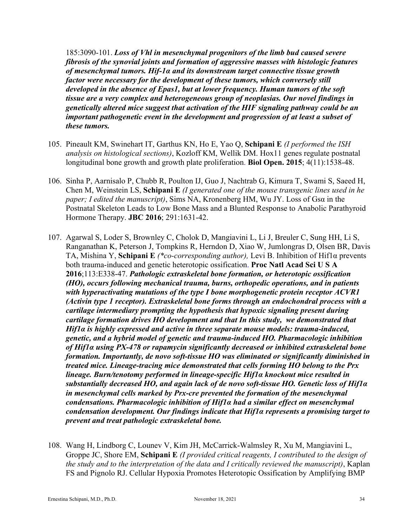185:3090-101. *Loss of Vhl in mesenchymal progenitors of the limb bud caused severe fibrosis of the synovial joints and formation of aggressive masses with histologic features of mesenchymal tumors. Hif-1α and its downstream target connective tissue growth factor were necessary for the development of these tumors, which conversely still developed in the absence of Epas1, but at lower frequency. Human tumors of the soft tissue are a very complex and heterogeneous group of neoplasias. Our novel findings in genetically altered mice suggest that activation of the HIF signaling pathway could be an important pathogenetic event in the development and progression of at least a subset of these tumors.*

- 105. Pineault KM, Swinehart IT, Garthus KN, Ho E, Yao Q, **Schipani E** *(I performed the ISH analysis on histological sections)*, Kozloff KM, Wellik DM. Hox11 genes regulate postnatal longitudinal bone growth and growth plate proliferation. **Biol Open. 2015**; 4(11):1538-48.
- 106. Sinha P, Aarnisalo P, Chubb R, Poulton IJ, Guo J, Nachtrab G, Kimura T, Swami S, Saeed H, Chen M, Weinstein LS, **Schipani E** *(I generated one of the mouse transgenic lines used in he paper; I edited the manuscript)*, Sims NA, Kronenberg HM, Wu JY. Loss of Gsα in the Postnatal Skeleton Leads to Low Bone Mass and a Blunted Response to Anabolic Parathyroid Hormone Therapy. **JBC 2016**; 291:1631-42.
- 107. Agarwal S, Loder S, Brownley C, Cholok D, Mangiavini L, Li J, Breuler C, Sung HH, Li S, Ranganathan K, Peterson J, Tompkins R, Herndon D, Xiao W, Jumlongras D, Olsen BR, Davis TA, Mishina Y, **Schipani E** *(\*co-corresponding author),* Levi B. Inhibition of Hif1α prevents both trauma-induced and genetic heterotopic ossification. **Proc Natl Acad Sci U S A 2016**;113:E338-47. *Pathologic extraskeletal bone formation, or heterotopic ossification (HO), occurs following mechanical trauma, burns, orthopedic operations, and in patients with hyperactivating mutations of the type I bone morphogenetic protein receptor ACVR1 (Activin type 1 receptor). Extraskeletal bone forms through an endochondral process with a cartilage intermediary prompting the hypothesis that hypoxic signaling present during cartilage formation drives HO development and that In this study, we demonstrated that Hif1α is highly expressed and active in three separate mouse models: trauma-induced, genetic, and a hybrid model of genetic and trauma-induced HO. Pharmacologic inhibition of Hif1α using PX-478 or rapamycin significantly decreased or inhibited extraskeletal bone formation. Importantly, de novo soft-tissue HO was eliminated or significantly diminished in treated mice. Lineage-tracing mice demonstrated that cells forming HO belong to the Prx lineage. Burn/tenotomy performed in lineage-specific Hif1α knockout mice resulted in substantially decreased HO, and again lack of de novo soft-tissue HO. Genetic loss of Hif1α in mesenchymal cells marked by Prx-cre prevented the formation of the mesenchymal condensations. Pharmacologic inhibition of Hif1α had a similar effect on mesenchymal condensation development. Our findings indicate that Hif1α represents a promising target to prevent and treat pathologic extraskeletal bone.*
- 108. Wang H, Lindborg C, Lounev V, Kim JH, McCarrick-Walmsley R, Xu M, Mangiavini L, Groppe JC, Shore EM, **Schipani E** *(I provided critical reagents, I contributed to the design of the study and to the interpretation of the data and I critically reviewed the manuscript)*, Kaplan FS and Pignolo RJ. Cellular Hypoxia Promotes Heterotopic Ossification by Amplifying BMP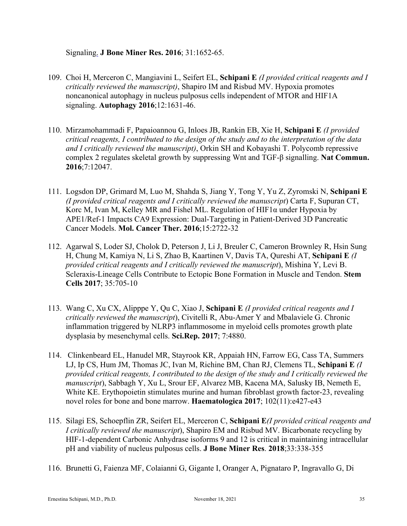### Signaling. **J Bone Miner Res. 2016**; 31:1652-65.

- 109. Choi H, Merceron C, Mangiavini L, Seifert EL, **Schipani E** *(I provided critical reagents and I critically reviewed the manuscript)*, Shapiro IM and Risbud MV. Hypoxia promotes noncanonical autophagy in nucleus pulposus cells independent of MTOR and HIF1A signaling. **Autophagy 2016**;12:1631-46.
- 110. Mirzamohammadi F, Papaioannou G, Inloes JB, Rankin EB, Xie H, **Schipani E** *(I provided critical reagents, I contributed to the design of the study and to the interpretation of the data and I critically reviewed the manuscript)*, Orkin SH and Kobayashi T. Polycomb repressive complex 2 regulates skeletal growth by suppressing Wnt and TGF-β signalling. **Nat Commun. 2016**;7:12047.
- 111. Logsdon DP, Grimard M, Luo M, Shahda S, Jiang Y, Tong Y, Yu Z, Zyromski N, **Schipani E** *(I provided critical reagents and I critically reviewed the manuscript*) Carta F, Supuran CT, Korc M, Ivan M, Kelley MR and Fishel ML. Regulation of HIF1α under Hypoxia by APE1/Ref-1 Impacts CA9 Expression: Dual-Targeting in Patient-Derived 3D Pancreatic Cancer Models. **Mol. Cancer Ther. 2016**;15:2722-32
- 112. Agarwal S, Loder SJ, Cholok D, Peterson J, Li J, Breuler C, Cameron Brownley R, Hsin Sung H, Chung M, Kamiya N, Li S, Zhao B, Kaartinen V, Davis TA, Qureshi AT, **Schipani E** *(I provided critical reagents and I critically reviewed the manuscript*), Mishina Y, Levi B. Scleraxis-Lineage Cells Contribute to Ectopic Bone Formation in Muscle and Tendon. **Stem Cells 2017**; 35:705-10
- 113. Wang C, Xu CX, Alipppe Y, Qu C, Xiao J, **Schipani E** *(I provided critical reagents and I critically reviewed the manuscript*), Civitelli R, Abu-Amer Y and Mbalaviele G. Chronic inflammation triggered by NLRP3 inflammosome in myeloid cells promotes growth plate dysplasia by mesenchymal cells. **Sci.Rep. 2017**; 7:4880.
- 114. Clinkenbeard EL, Hanudel MR, Stayrook KR, Appaiah HN, Farrow EG, Cass TA, Summers LJ, Ip CS, Hum JM, Thomas JC, Ivan M, Richine BM, Chan RJ, Clemens TL, **Schipani E** *(I provided critical reagents, I contributed to the design of the study and I critically reviewed the manuscript*), Sabbagh Y, Xu L, Srour EF, Alvarez MB, Kacena MA, Salusky IB, Nemeth E, White KE. Erythopoietin stimulates murine and human fibroblast growth factor-23, revealing novel roles for bone and bone marrow. **Haematologica 2017**; 102(11):e427-e43
- 115. Silagi ES, Schoepflin ZR, Seifert EL, Merceron C, **Schipani E***(I provided critical reagents and I critically reviewed the manuscript*), Shapiro EM and Risbud MV. Bicarbonate recycling by HIF-1-dependent Carbonic Anhydrase isoforms 9 and 12 is critical in maintaining intracellular pH and viability of nucleus pulposus cells. **J Bone Miner Res**. **2018**;33:338-355
- 116. Brunetti G, Faienza MF, Colaianni G, Gigante I, Oranger A, Pignataro P, Ingravallo G, Di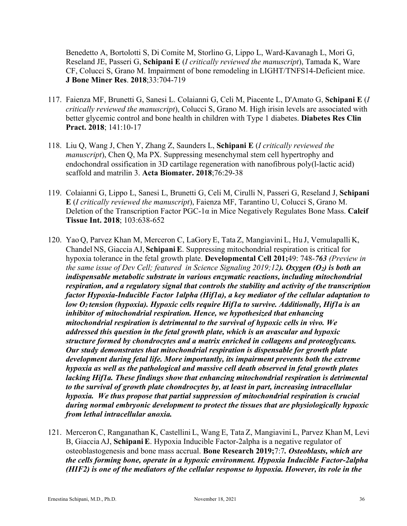Benedetto A, Bortolotti S, Di Comite M, Storlino G, Lippo L, Ward-Kavanagh L, Mori G, Reseland JE, Passeri G, **Schipani E** (*I critically reviewed the manuscript*), Tamada K, Ware CF, Colucci S, Grano M. Impairment of bone remodeling in LIGHT/TNFS14-Deficient mice. **J Bone Miner Res**. **2018**;33:704-719

- 117. Faienza MF, Brunetti G, Sanesi L. Colaianni G, Celi M, Piacente L, D'Amato G, **Schipani E** (*I critically reviewed the manuscript*), Colucci S, Grano M. High irisin levels are associated with better glycemic control and bone health in children with Type 1 diabetes. **Diabetes Res Clin Pract. 2018**; 141:10-17
- 118. Liu Q, Wang J, Chen Y, Zhang Z, Saunders L, **Schipani E** (*I critically reviewed the manuscript*), Chen Q, Ma PX. Suppressing mesenchymal stem cell hypertrophy and endochondral ossification in 3D cartilage regeneration with nanofibrous poly(l-lactic acid) scaffold and matrilin 3. **Acta Biomater. 2018**;76:29-38
- 119. Colaianni G, Lippo L, Sanesi L, Brunetti G, Celi M, Cirulli N, Passeri G, Reseland J, **Schipani E** (*I critically reviewed the manuscript*), Faienza MF, Tarantino U, Colucci S, Grano M. Deletion of the Transcription Factor PGC-1α in Mice Negatively Regulates Bone Mass. **Calcif Tissue Int. 2018**; 103:638-652
- 120. Yao Q, Parvez Khan M, Merceron C, LaGory E, Tata Z, Mangiavini L, Hu J, Vemulapalli K, Chandel NS, Giaccia AJ, **SchipaniE**. Suppressing mitochondrial respiration is critical for hypoxia tolerance in the fetal growth plate. **Developmental Cell 201;**49: 748-*763 (Preview in the same issue of Dev Cell; featured in Science Signaling 2019;12). Oxygen (O2) is both an indispensable metabolic substrate in various enzymatic reactions, including mitochondrial respiration, and a regulatory signal that controls the stability and activity of the transcription factor Hypoxia-Inducible Factor 1alpha (Hif1a), a key mediator of the cellular adaptation to low O2 tension (hypoxia). Hypoxic cells require Hif1a to survive. Additionally, Hif1a is an inhibitor of mitochondrial respiration. Hence, we hypothesized that enhancing mitochondrial respiration is detrimental to the survival of hypoxic cells in vivo. We addressed this question in the fetal growth plate, which is an avascular and hypoxic structure formed by chondrocytes and a matrix enriched in collagens and proteoglycans. Our study demonstrates that mitochondrial respiration is dispensable for growth plate development during fetal life. More importantly, its impairment prevents both the extreme hypoxia as well as the pathological and massive cell death observed in fetal growth plates lacking Hif1a. These findings show that enhancing mitochondrial respiration is detrimental to the survival of growth plate chondrocytes by, at least in part, increasing intracellular hypoxia. We thus propose that partial suppression of mitochondrial respiration is crucial during normal embryonic development to protect the tissues that are physiologically hypoxic from lethal intracellular anoxia.*
- 121. Merceron C, Ranganathan K, Castellini L, Wang E, Tata Z, Mangiavini L, Parvez Khan M, Levi B, Giaccia AJ, **SchipaniE**. Hypoxia Inducible Factor-2alpha is a negative regulator of osteoblastogenesis and bone mass accrual. **Bone Research 2019;**7:7*. Osteoblasts, which are the cells forming bone, operate in a hypoxic environment. Hypoxia Inducible Factor-2alpha (HIF2) is one of the mediators of the cellular response to hypoxia. However, its role in the*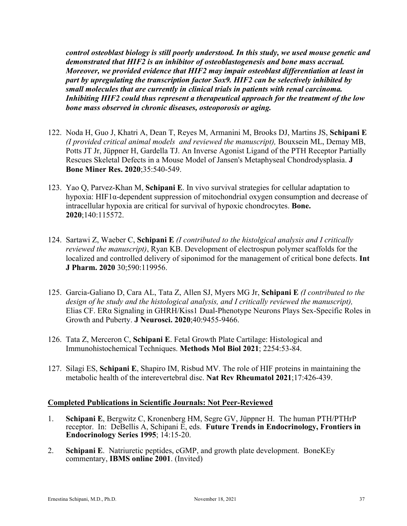*control osteoblast biology is still poorly understood. In this study, we used mouse genetic and demonstrated that HIF2 is an inhibitor of osteoblastogenesis and bone mass accrual. Moreover, we provided evidence that HIF2 may impair osteoblast differentiation at least in part by upregulating the transcription factor Sox9. HIF2 can be selectively inhibited by small molecules that are currently in clinical trials in patients with renal carcinoma. Inhibiting HIF2 could thus represent a therapeutical approach for the treatment of the low bone mass observed in chronic diseases, osteoporosis or aging.*

- 122. Noda H, Guo J, Khatri A, Dean T, Reyes M, Armanini M, Brooks DJ, Martins JS, **Schipani E** *(I provided critical animal models and reviewed the manuscript),* Bouxsein ML, Demay MB, Potts JT Jr, Jüppner H, Gardella TJ. An Inverse Agonist Ligand of the PTH Receptor Partially Rescues Skeletal Defects in a Mouse Model of Jansen's Metaphyseal Chondrodysplasia. **J Bone Miner Res. 2020**;35:540-549.
- 123. Yao Q, Parvez-Khan M, **Schipani E**. In vivo survival strategies for cellular adaptation to hypoxia: HIF1α-dependent suppression of mitochondrial oxygen consumption and decrease of intracellular hypoxia are critical for survival of hypoxic chondrocytes. **Bone. 2020**;140:115572.
- 124. Sartawi Z, Waeber C, **Schipani E** *(I contributed to the histolgical analysis and I critically reviewed the manuscript)*, Ryan KB. Development of electrospun polymer scaffolds for the localized and controlled delivery of siponimod for the management of critical bone defects. **Int J Pharm. 2020** 30;590:119956.
- 125. Garcia-Galiano D, Cara AL, Tata Z, Allen SJ, Myers MG Jr, **Schipani E** *(I contributed to the design of he study and the histological analysis, and I critically reviewed the manuscript),* Elias CF. ERα Signaling in GHRH/Kiss1 Dual-Phenotype Neurons Plays Sex-Specific Roles in Growth and Puberty. **J Neurosci. 2020**;40:9455-9466.
- 126. Tata Z, Merceron C, **Schipani E**. Fetal Growth Plate Cartilage: Histological and Immunohistochemical Techniques. **Methods Mol Biol 2021**; 2254:53-84.
- 127. Silagi ES, **Schipani E**, Shapiro IM, Risbud MV. The role of HIF proteins in maintaining the metabolic health of the interevertebral disc. **Nat Rev Rheumatol 2021**;17:426-439.

### **Completed Publications in Scientific Journals: Not Peer-Reviewed**

- 1. **Schipani E**, Bergwitz C, Kronenberg HM, Segre GV, Jüppner H. The human PTH/PTHrP receptor. In: DeBellis A, Schipani E, eds. **Future Trends in Endocrinology, Frontiers in Endocrinology Series 1995**; 14:15-20.
- 2. **Schipani E**. Natriuretic peptides, cGMP, and growth plate development. BoneKEy commentary, **IBMS online 2001**. (Invited)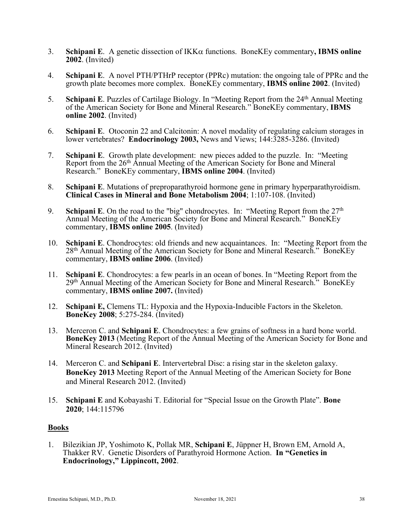- 3. **Schipani E**. A genetic dissection of IKKa functions. BoneKEy commentary**, IBMS online 2002**. (Invited)
- 4. **Schipani E**. A novel PTH/PTHrP receptor (PPRc) mutation: the ongoing tale of PPRc and the growth plate becomes more complex. BoneKEy commentary, **IBMS online 2002**. (Invited)
- 5. **Schipani E**. Puzzles of Cartilage Biology. In "Meeting Report from the 24<sup>th</sup> Annual Meeting of the American Society for Bone and Mineral Research." BoneKEy commentary, **IBMS online 2002**. (Invited)
- 6. **Schipani E**. Otoconin 22 and Calcitonin: A novel modality of regulating calcium storages in lower vertebrates? **Endocrinology 2003,** News and Views; 144:3285-3286. (Invited)
- 7. **Schipani E**. Growth plate development: new pieces added to the puzzle. In: "Meeting Report from the 26th Annual Meeting of the American Society for Bone and Mineral Research." BoneKEy commentary, **IBMS online 2004**. (Invited)
- 8. **Schipani E**. Mutations of preproparathyroid hormone gene in primary hyperparathyroidism. **Clinical Cases in Mineral and Bone Metabolism 2004**; 1:107-108. (Invited)
- 9. **Schipani E**. On the road to the "big" chondrocytes. In: "Meeting Report from the 27<sup>th</sup> Annual Meeting of the American Society for Bone and Mineral Research." BoneKEy commentary, **IBMS online 2005**. (Invited)
- 10. **Schipani E**. Chondrocytes: old friends and new acquaintances. In: "Meeting Report from the 28th Annual Meeting of the American Society for Bone and Mineral Research." BoneKEy commentary, **IBMS online 2006**. (Invited)
- 11. **Schipani E**. Chondrocytes: a few pearls in an ocean of bones. In "Meeting Report from the 29th Annual Meeting of the American Society for Bone and Mineral Research." BoneKEy commentary, **IBMS online 2007.** (Invited)
- 12. **Schipani E,** Clemens TL: Hypoxia and the Hypoxia-Inducible Factors in the Skeleton. **BoneKey 2008**; 5:275-284. (Invited)
- 13. Merceron C. and **Schipani E**. Chondrocytes: a few grains of softness in a hard bone world. **BoneKey 2013** (Meeting Report of the Annual Meeting of the American Society for Bone and Mineral Research 2012. (Invited)
- 14. Merceron C. and **Schipani E**. Intervertebral Disc: a rising star in the skeleton galaxy. **BoneKey 2013** Meeting Report of the Annual Meeting of the American Society for Bone and Mineral Research 2012. (Invited)
- 15. **Schipani E** and Kobayashi T. Editorial for "Special Issue on the Growth Plate". **Bone 2020**; 144:115796

### **Books**

1. Bilezikian JP, Yoshimoto K, Pollak MR, **Schipani E**, Jüppner H, Brown EM, Arnold A, Thakker RV. Genetic Disorders of Parathyroid Hormone Action. **In "Genetics in Endocrinology," Lippincott, 2002**.